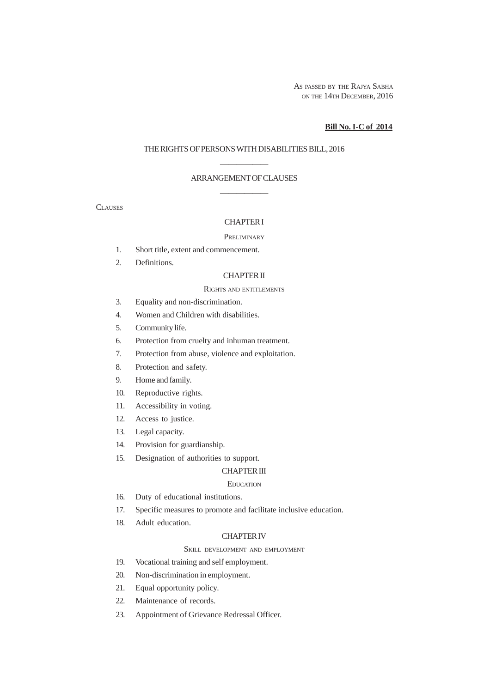AS PASSED BY THE RAJYA SABHA ON THE 14TH DECEMBER, 2016

#### **Bill No. I-C of 2014**

## THE RIGHTS OF PERSONS WITH DISABILITIES BILL, 2016

# —————— ARRANGEMENT OF CLAUSES ——————

**CLAUSES** 

## CHAPTER I

#### **PRELIMINARY**

- 1. Short title, extent and commencement.
- 2. Definitions.

## CHAPTER II

## RIGHTS AND ENTITLEMENTS

- 3. Equality and non-discrimination.
- 4. Women and Children with disabilities.
- 5. Community life.
- 6. Protection from cruelty and inhuman treatment.
- 7. Protection from abuse, violence and exploitation.
- 8. Protection and safety.
- 9. Home and family.
- 10. Reproductive rights.
- 11. Accessibility in voting.
- 12. Access to justice.
- 13. Legal capacity.
- 14. Provision for guardianship.
- 15. Designation of authorities to support.

#### CHAPTER III

## **EDUCATION**

- 16. Duty of educational institutions.
- 17. Specific measures to promote and facilitate inclusive education.
- 18. Adult education.

## CHAPTER IV

## SKILL DEVELOPMENT AND EMPLOYMENT

- 19. Vocational training and self employment.
- 20. Non-discrimination in employment.
- 21. Equal opportunity policy.
- 22. Maintenance of records.
- 23. Appointment of Grievance Redressal Officer.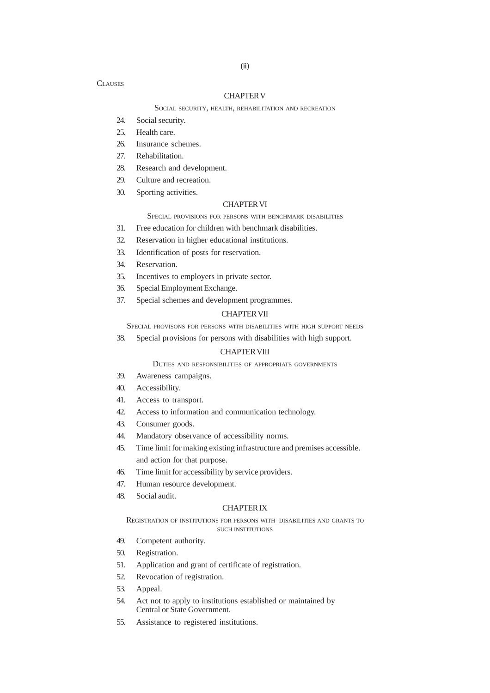**CLAUSES** 

## CHAPTER V

SOCIAL SECURITY, HEALTH, REHABILITATION AND RECREATION

- 24. Social security.
- 25. Health care.
- 26. Insurance schemes.
- 27. Rehabilitation.
- 28. Research and development.
- 29. Culture and recreation.
- 30. Sporting activities.

# CHAPTER VI

SPECIAL PROVISIONS FOR PERSONS WITH BENCHMARK DISABILITIES

- 31. Free education for children with benchmark disabilities.
- 32. Reservation in higher educational institutions.
- 33. Identification of posts for reservation.
- 34. Reservation.
- 35. Incentives to employers in private sector.
- 36. Special Employment Exchange.
- 37. Special schemes and development programmes.

## CHAPTER VII

SPECIAL PROVISONS FOR PERSONS WITH DISABILITIES WITH HIGH SUPPORT NEEDS

38. Special provisions for persons with disabilities with high support.

## CHAPTER VIII

DUTIES AND RESPONSIBILITIES OF APPROPRIATE GOVERNMENTS

- 39. Awareness campaigns.
- 40. Accessibility.
- 41. Access to transport.
- 42. Access to information and communication technology.
- 43. Consumer goods.
- 44. Mandatory observance of accessibility norms.
- 45. Time limit for making existing infrastructure and premises accessible. and action for that purpose.
- 46. Time limit for accessibility by service providers.
- 47. Human resource development.
- 48. Social audit.

## CHAPTER IX

#### REGISTRATION OF INSTITUTIONS FOR PERSONS WITH DISABILITIES AND GRANTS TO SUCH INSTITUTIONS

- 49. Competent authority.
- 50. Registration.
- 51. Application and grant of certificate of registration.
- 52. Revocation of registration.
- 53. Appeal.
- 54. Act not to apply to institutions established or maintained by Central or State Government.
- 55. Assistance to registered institutions.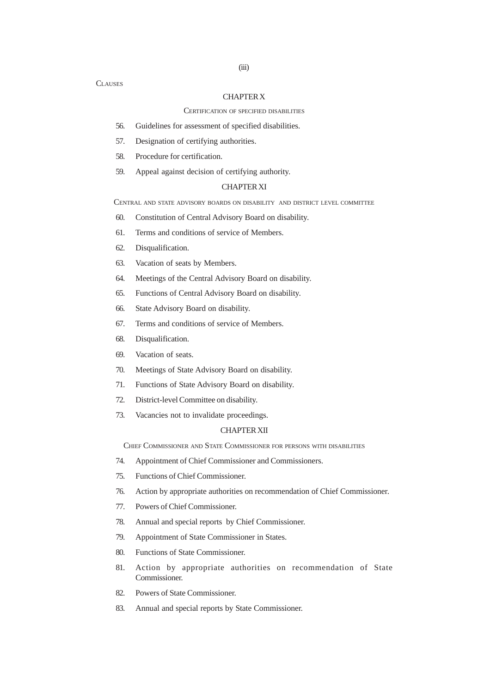## **CLAUSES**

#### CHAPTER X

#### CERTIFICATION OF SPECIFIED DISABILITIES

- 56. Guidelines for assessment of specified disabilities.
- 57. Designation of certifying authorities.
- 58. Procedure for certification.
- 59. Appeal against decision of certifying authority.

## CHAPTER XI

CENTRAL AND STATE ADVISORY BOARDS ON DISABILITY AND DISTRICT LEVEL COMMITTEE

- 60. Constitution of Central Advisory Board on disability.
- 61. Terms and conditions of service of Members.
- 62. Disqualification.
- 63. Vacation of seats by Members.
- 64. Meetings of the Central Advisory Board on disability.
- 65. Functions of Central Advisory Board on disability.
- 66. State Advisory Board on disability.
- 67. Terms and conditions of service of Members.
- 68. Disqualification.
- 69. Vacation of seats.
- 70. Meetings of State Advisory Board on disability.
- 71. Functions of State Advisory Board on disability.
- 72. District-level Committee on disability.
- 73. Vacancies not to invalidate proceedings.

#### CHAPTER XII

CHIEF COMMISSIONER AND STATE COMMISSIONER FOR PERSONS WITH DISABILITIES

- 74. Appointment of Chief Commissioner and Commissioners.
- 75. Functions of Chief Commissioner.
- 76. Action by appropriate authorities on recommendation of Chief Commissioner.
- 77. Powers of Chief Commissioner.
- 78. Annual and special reports by Chief Commissioner.
- 79. Appointment of State Commissioner in States.
- 80. Functions of State Commissioner.
- 81. Action by appropriate authorities on recommendation of State Commissioner.
- 82. Powers of State Commissioner.
- 83. Annual and special reports by State Commissioner.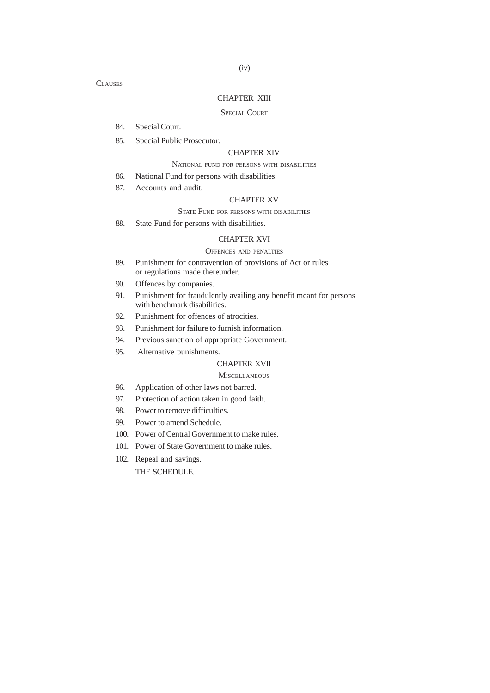## **CLAUSES**

## CHAPTER XIII

## SPECIAL COURT

- 84. Special Court.
- 85. Special Public Prosecutor.

#### CHAPTER XIV

## NATIONAL FUND FOR PERSONS WITH DISABILITIES

- 86. National Fund for persons with disabilities.
- 87. Accounts and audit.

#### CHAPTER XV

## STATE FUND FOR PERSONS WITH DISABILITIES

88. State Fund for persons with disabilities.

## CHAPTER XVI

#### OFFENCES AND PENALTIES

- 89. Punishment for contravention of provisions of Act or rules or regulations made thereunder.
- 90. Offences by companies.
- 91. Punishment for fraudulently availing any benefit meant for persons with benchmark disabilities.
- 92. Punishment for offences of atrocities.
- 93. Punishment for failure to furnish information.
- 94. Previous sanction of appropriate Government.
- 95. Alternative punishments.

#### CHAPTER XVII

## **MISCELLANEOUS**

- 96. Application of other laws not barred.
- 97. Protection of action taken in good faith.
- 98. Power to remove difficulties.
- 99. Power to amend Schedule.
- 100. Power of Central Government to make rules.
- 101. Power of State Government to make rules.
- 102. Repeal and savings.

THE SCHEDULE.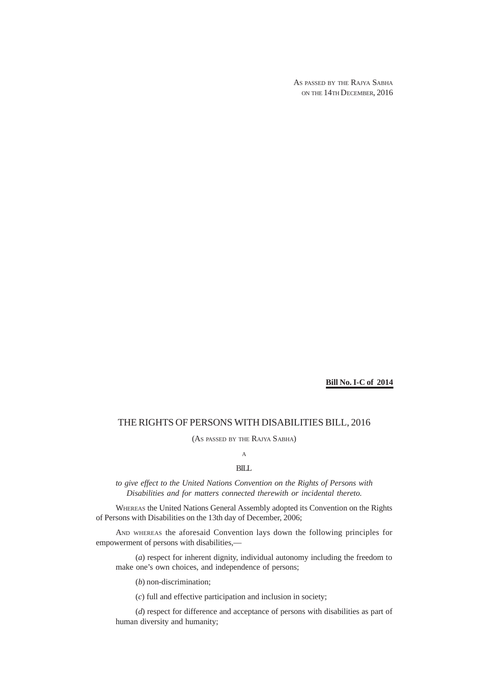AS PASSED BY THE RAJYA SABHA ON THE 14TH DECEMBER, 2016

**Bill No. I-C of 2014**

## THE RIGHTS OF PERSONS WITH DISABILITIES BILL, 2016

(AS PASSED BY THE RAJYA SABHA)

A

#### BILL

*to give effect to the United Nations Convention on the Rights of Persons with Disabilities and for matters connected therewith or incidental thereto.*

WHEREAS the United Nations General Assembly adopted its Convention on the Rights of Persons with Disabilities on the 13th day of December, 2006;

AND WHEREAS the aforesaid Convention lays down the following principles for empowerment of persons with disabilities,—

(*a*) respect for inherent dignity, individual autonomy including the freedom to make one's own choices, and independence of persons;

(*b*) non-discrimination;

(*c*) full and effective participation and inclusion in society;

(*d*) respect for difference and acceptance of persons with disabilities as part of human diversity and humanity;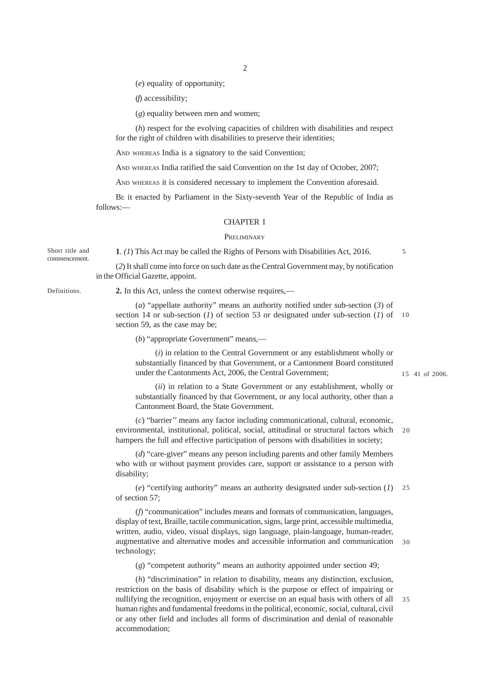(*e*) equality of opportunity;

(*f*) accessibility;

(*g*) equality between men and women;

(*h*) respect for the evolving capacities of children with disabilities and respect for the right of children with disabilities to preserve their identities;

AND WHEREAS India is a signatory to the said Convention;

AND WHEREAS India ratified the said Convention on the 1st day of October, 2007;

AND WHEREAS it is considered necessary to implement the Convention aforesaid.

BE it enacted by Parliament in the Sixty-seventh Year of the Republic of India as follows:—

#### CHAPTER I

#### **PRELIMINARY**

Short title and commencement.

**1**. *(1*) This Act may be called the Rights of Persons with Disabilities Act, 2016.

5

(*2*) It shall come into force on such date as the Central Government may, by notification in the Official Gazette, appoint.

Definitions.

**2.** In this Act, unless the context otherwise requires,—

(*a*) "appellate authority" means an authority notified under sub-section (*3*) of section 14 or sub-section  $(I)$  of section 53 or designated under sub-section  $(I)$  of 10 section 59, as the case may be;

(*b*) "appropriate Government" means,—

(*i*) in relation to the Central Government or any establishment wholly or substantially financed by that Government, or a Cantonment Board constituted under the Cantonments Act, 2006, the Central Government;

(*ii*) in relation to a State Government or any establishment, wholly or substantially financed by that Government, or any local authority, other than a Cantonment Board, the State Government.

(*c*) "barrier'' means any factor including communicational, cultural, economic, environmental, institutional, political, social, attitudinal or structural factors which 20 hampers the full and effective participation of persons with disabilities in society;

(*d*) "care-giver" means any person including parents and other family Members who with or without payment provides care, support or assistance to a person with disability;

(*e*) "certifying authority" means an authority designated under sub-section (*1*) 25 of section 57;

(*f*) "communication" includes means and formats of communication, languages, display of text, Braille, tactile communication, signs, large print, accessible multimedia, written, audio, video, visual displays, sign language, plain-language, human-reader, augmentative and alternative modes and accessible information and communication technology; 30

(*g*) "competent authority" means an authority appointed under section 49;

(*h*) "discrimination" in relation to disability, means any distinction, exclusion, restriction on the basis of disability which is the purpose or effect of impairing or nullifying the recognition, enjoyment or exercise on an equal basis with others of all human rights and fundamental freedoms in the political, economic, social, cultural, civil or any other field and includes all forms of discrimination and denial of reasonable accommodation; 35

41 of 2006. 15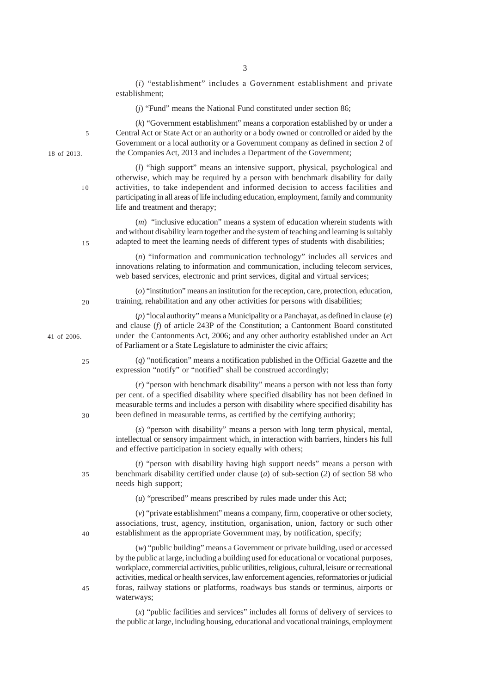(*i*) "establishment" includes a Government establishment and private establishment;

(*j*) "Fund" means the National Fund constituted under section 86;

(*k*) "Government establishment" means a corporation established by or under a Central Act or State Act or an authority or a body owned or controlled or aided by the Government or a local authority or a Government company as defined in section 2 of the Companies Act, 2013 and includes a Department of the Government;

(*l*) "high support" means an intensive support, physical, psychological and otherwise, which may be required by a person with benchmark disability for daily activities, to take independent and informed decision to access facilities and participating in all areas of life including education, employment, family and community life and treatment and therapy;

(*m*) "inclusive education" means a system of education wherein students with and without disability learn together and the system of teaching and learning is suitably adapted to meet the learning needs of different types of students with disabilities;

(*n*) "information and communication technology" includes all services and innovations relating to information and communication, including telecom services, web based services, electronic and print services, digital and virtual services;

(*o*) "institution" means an institution for the reception, care, protection, education, training, rehabilitation and any other activities for persons with disabilities;

(*p*) "local authority" means a Municipality or a Panchayat, as defined in clause (*e*) and clause (*f*) of article 243P of the Constitution; a Cantonment Board constituted under the Cantonments Act, 2006; and any other authority established under an Act of Parliament or a State Legislature to administer the civic affairs;

(*q*) "notification" means a notification published in the Official Gazette and the expression "notify" or "notified" shall be construed accordingly;

(*r*) "person with benchmark disability" means a person with not less than forty per cent. of a specified disability where specified disability has not been defined in measurable terms and includes a person with disability where specified disability has been defined in measurable terms, as certified by the certifying authority;

(*s*) "person with disability" means a person with long term physical, mental, intellectual or sensory impairment which, in interaction with barriers, hinders his full and effective participation in society equally with others;

(*t*) "person with disability having high support needs" means a person with benchmark disability certified under clause (*a*) of sub-section (*2*) of section 58 who needs high support;

(*u*) "prescribed" means prescribed by rules made under this Act;

(*v*) "private establishment" means a company, firm, cooperative or other society, associations, trust, agency, institution, organisation, union, factory or such other establishment as the appropriate Government may, by notification, specify;

(*w*) "public building" means a Government or private building, used or accessed by the public at large, including a building used for educational or vocational purposes, workplace, commercial activities, public utilities, religious, cultural, leisure or recreational activities, medical or health services, law enforcement agencies, reformatories or judicial foras, railway stations or platforms, roadways bus stands or terminus, airports or waterways;

(*x*) "public facilities and services" includes all forms of delivery of services to the public at large, including housing, educational and vocational trainings, employment

3

- 41 of 2006.
	- 25

20

5

18 of 2013.

10

15

- 
- 30

40

35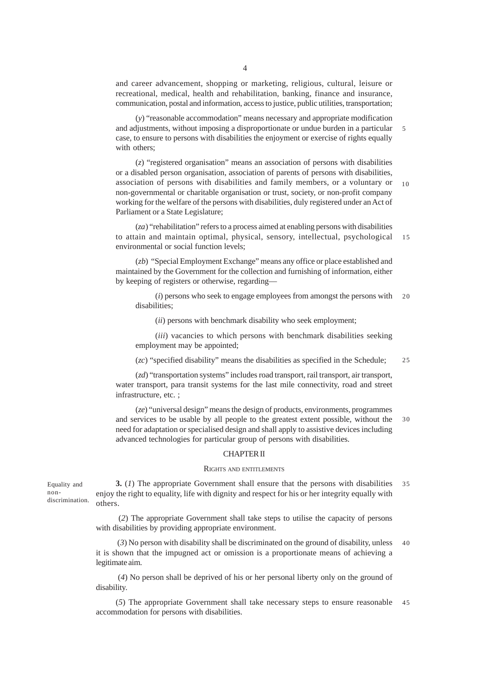(*y*) "reasonable accommodation" means necessary and appropriate modification and adjustments, without imposing a disproportionate or undue burden in a particular case, to ensure to persons with disabilities the enjoyment or exercise of rights equally with others; 5

(*z*) "registered organisation" means an association of persons with disabilities or a disabled person organisation, association of parents of persons with disabilities, association of persons with disabilities and family members, or a voluntary or non-governmental or charitable organisation or trust, society, or non-profit company working for the welfare of the persons with disabilities, duly registered under an Act of Parliament or a State Legislature; 10

(*za*) "rehabilitation" refers to a process aimed at enabling persons with disabilities to attain and maintain optimal, physical, sensory, intellectual, psychological environmental or social function levels; 15

(*zb*) "Special Employment Exchange" means any office or place established and maintained by the Government for the collection and furnishing of information, either by keeping of registers or otherwise, regarding—

(*i*) persons who seek to engage employees from amongst the persons with disabilities; 20

(*ii*) persons with benchmark disability who seek employment;

(*iii*) vacancies to which persons with benchmark disabilities seeking employment may be appointed;

(*zc*) "specified disability" means the disabilities as specified in the Schedule; 25

(*zd*) "transportation systems" includes road transport, rail transport, air transport, water transport, para transit systems for the last mile connectivity, road and street infrastructure, etc. ;

(*ze*) "universal design" means the design of products, environments, programmes and services to be usable by all people to the greatest extent possible, without the need for adaptation or specialised design and shall apply to assistive devices including advanced technologies for particular group of persons with disabilities. 30

#### CHAPTER II

#### RIGHTS AND ENTITLEMENTS

Equality and nondiscrimination.

**3.** (*1*) The appropriate Government shall ensure that the persons with disabilities enjoy the right to equality, life with dignity and respect for his or her integrity equally with others. 35

 (*2*) The appropriate Government shall take steps to utilise the capacity of persons with disabilities by providing appropriate environment.

 (*3*) No person with disability shall be discriminated on the ground of disability, unless it is shown that the impugned act or omission is a proportionate means of achieving a legitimate aim. 40

 (*4*) No person shall be deprived of his or her personal liberty only on the ground of disability.

(*5*) The appropriate Government shall take necessary steps to ensure reasonable accommodation for persons with disabilities. 45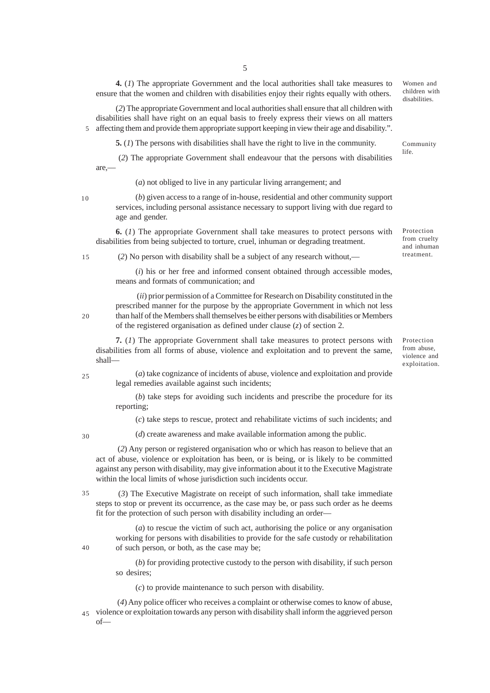**4.** (*1*) The appropriate Government and the local authorities shall take measures to ensure that the women and children with disabilities enjoy their rights equally with others.

(*2*) The appropriate Government and local authorities shall ensure that all children with disabilities shall have right on an equal basis to freely express their views on all matters affecting them and provide them appropriate support keeping in view their age and disability.". 5

**5.** (*1*) The persons with disabilities shall have the right to live in the community.

 (*2*) The appropriate Government shall endeavour that the persons with disabilities are,—

(*a*) not obliged to live in any particular living arrangement; and

10

(*b*) given access to a range of in-house, residential and other community support services, including personal assistance necessary to support living with due regard to age and gender.

**6.** (*1*) The appropriate Government shall take measures to protect persons with disabilities from being subjected to torture, cruel, inhuman or degrading treatment.

15

20

(*2*) No person with disability shall be a subject of any research without,—

(*i*) his or her free and informed consent obtained through accessible modes, means and formats of communication; and

 (*ii*) prior permission of a Committee for Research on Disability constituted in the prescribed manner for the purpose by the appropriate Government in which not less than half of the Members shall themselves be either persons with disabilities or Members of the registered organisation as defined under clause (*z*) of section 2.

**7.** (*1*) The appropriate Government shall take measures to protect persons with disabilities from all forms of abuse, violence and exploitation and to prevent the same, shall—

Protection from abuse, violence and exploitation.

 $25$ 

(*a*) take cognizance of incidents of abuse, violence and exploitation and provide legal remedies available against such incidents;

(*b*) take steps for avoiding such incidents and prescribe the procedure for its reporting;

(*c*) take steps to rescue, protect and rehabilitate victims of such incidents; and

30

(*d*) create awareness and make available information among the public.

 (*2*) Any person or registered organisation who or which has reason to believe that an act of abuse, violence or exploitation has been, or is being, or is likely to be committed against any person with disability, may give information about it to the Executive Magistrate within the local limits of whose jurisdiction such incidents occur.

35

 (*3*) The Executive Magistrate on receipt of such information, shall take immediate steps to stop or prevent its occurrence, as the case may be, or pass such order as he deems fit for the protection of such person with disability including an order—

(*a*) to rescue the victim of such act, authorising the police or any organisation working for persons with disabilities to provide for the safe custody or rehabilitation of such person, or both, as the case may be;

40

(*b*) for providing protective custody to the person with disability, if such person so desires;

(*c*) to provide maintenance to such person with disability.

 (*4*) Any police officer who receives a complaint or otherwise comes to know of abuse, violence or exploitation towards any person with disability shall inform the aggrieved person 45 ofCommunity

life.

Women and children with disabilities.

and inhuman treatment.

Protection from cruelty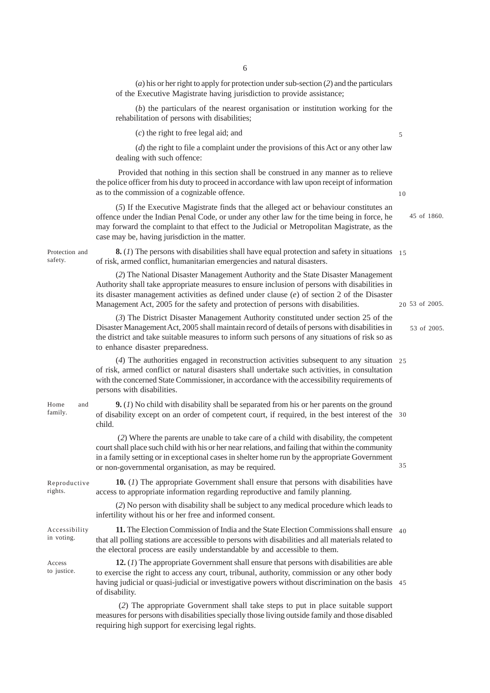(*a*) his or her right to apply for protection under sub-section (*2*) and the particulars of the Executive Magistrate having jurisdiction to provide assistance;

(*b*) the particulars of the nearest organisation or institution working for the rehabilitation of persons with disabilities;

(*c*) the right to free legal aid; and

(*d*) the right to file a complaint under the provisions of this Act or any other law dealing with such offence:

 Provided that nothing in this section shall be construed in any manner as to relieve the police officer from his duty to proceed in accordance with law upon receipt of information as to the commission of a cognizable offence.

(*5*) If the Executive Magistrate finds that the alleged act or behaviour constitutes an offence under the Indian Penal Code, or under any other law for the time being in force, he may forward the complaint to that effect to the Judicial or Metropolitan Magistrate, as the case may be, having jurisdiction in the matter.

Protection and safety.

**8.** (1) The persons with disabilities shall have equal protection and safety in situations 15 of risk, armed conflict, humanitarian emergencies and natural disasters.

(*2*) The National Disaster Management Authority and the State Disaster Management Authority shall take appropriate measures to ensure inclusion of persons with disabilities in its disaster management activities as defined under clause (*e*) of section 2 of the Disaster Management Act, 2005 for the safety and protection of persons with disabilities.

(*3*) The District Disaster Management Authority constituted under section 25 of the Disaster Management Act, 2005 shall maintain record of details of persons with disabilities in the district and take suitable measures to inform such persons of any situations of risk so as to enhance disaster preparedness.

(*4*) The authorities engaged in reconstruction activities subsequent to any situation 25 of risk, armed conflict or natural disasters shall undertake such activities, in consultation with the concerned State Commissioner, in accordance with the accessibility requirements of persons with disabilities.

Home and family.

**9.** (*1*) No child with disability shall be separated from his or her parents on the ground of disability except on an order of competent court, if required, in the best interest of the 30 child.

 (*2*) Where the parents are unable to take care of a child with disability, the competent court shall place such child with his or her near relations, and failing that within the community in a family setting or in exceptional cases in shelter home run by the appropriate Government or non-governmental organisation, as may be required.

Reproductive rights.

**10.** (*1*) The appropriate Government shall ensure that persons with disabilities have access to appropriate information regarding reproductive and family planning.

(*2*) No person with disability shall be subject to any medical procedure which leads to infertility without his or her free and informed consent.

**11.** The Election Commission of India and the State Election Commissions shall ensure 40 that all polling stations are accessible to persons with disabilities and all materials related to the electoral process are easily understandable by and accessible to them. Accessibility in voting.

Access to justice.

**12.** (*1*) The appropriate Government shall ensure that persons with disabilities are able to exercise the right to access any court, tribunal, authority, commission or any other body having judicial or quasi-judicial or investigative powers without discrimination on the basis 45of disability.

 (*2*) The appropriate Government shall take steps to put in place suitable support measures for persons with disabilities specially those living outside family and those disabled requiring high support for exercising legal rights.

10

5

45 of 1860.

- 53 of 2005. 20
	- 53 of 2005.

- 35
-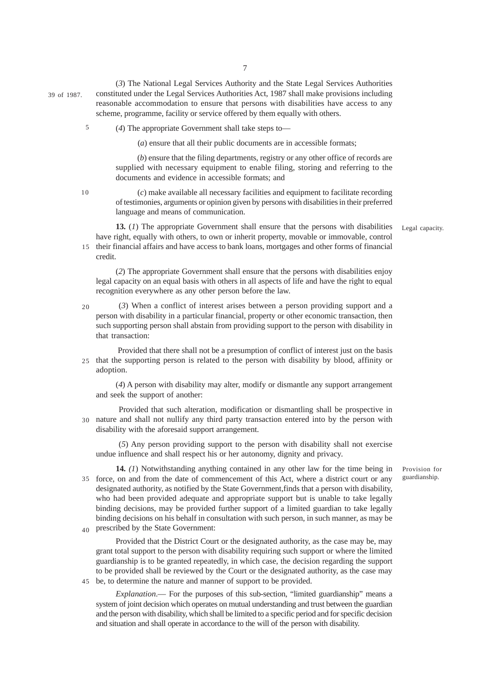39 of 1987.

(*3*) The National Legal Services Authority and the State Legal Services Authorities constituted under the Legal Services Authorities Act, 1987 shall make provisions including reasonable accommodation to ensure that persons with disabilities have access to any scheme, programme, facility or service offered by them equally with others.

(*4*) The appropriate Government shall take steps to— 5

(*a*) ensure that all their public documents are in accessible formats;

 (*b*) ensure that the filing departments, registry or any other office of records are supplied with necessary equipment to enable filing, storing and referring to the documents and evidence in accessible formats; and

10

 (*c*) make available all necessary facilities and equipment to facilitate recording of testimonies, arguments or opinion given by persons with disabilities in their preferred language and means of communication.

Legal capacity.

**13.** (*1*) The appropriate Government shall ensure that the persons with disabilities have right, equally with others, to own or inherit property, movable or immovable, control 15 their financial affairs and have access to bank loans, mortgages and other forms of financial credit.

(*2*) The appropriate Government shall ensure that the persons with disabilities enjoy legal capacity on an equal basis with others in all aspects of life and have the right to equal recognition everywhere as any other person before the law.

- (*3*) When a conflict of interest arises between a person providing support and a person with disability in a particular financial, property or other economic transaction, then such supporting person shall abstain from providing support to the person with disability in that transaction:  $20$
- Provided that there shall not be a presumption of conflict of interest just on the basis that the supporting person is related to the person with disability by blood, affinity or adoption. 25

(*4*) A person with disability may alter, modify or dismantle any support arrangement and seek the support of another:

 Provided that such alteration, modification or dismantling shall be prospective in nature and shall not nullify any third party transaction entered into by the person with 30 disability with the aforesaid support arrangement.

 (*5*) Any person providing support to the person with disability shall not exercise undue influence and shall respect his or her autonomy, dignity and privacy.

> Provision for guardianship.

**14.** *(1*) Notwithstanding anything contained in any other law for the time being in 35 force, on and from the date of commencement of this Act, where a district court or any designated authority, as notified by the State Government,finds that a person with disability, who had been provided adequate and appropriate support but is unable to take legally binding decisions, may be provided further support of a limited guardian to take legally binding decisions on his behalf in consultation with such person, in such manner, as may be prescribed by the State Government: 40

Provided that the District Court or the designated authority, as the case may be, may grant total support to the person with disability requiring such support or where the limited guardianship is to be granted repeatedly, in which case, the decision regarding the support to be provided shall be reviewed by the Court or the designated authority, as the case may be, to determine the nature and manner of support to be provided. 45

*Explanation*.— For the purposes of this sub-section, "limited guardianship" means a system of joint decision which operates on mutual understanding and trust between the guardian and the person with disability, which shall be limited to a specific period and for specific decision and situation and shall operate in accordance to the will of the person with disability.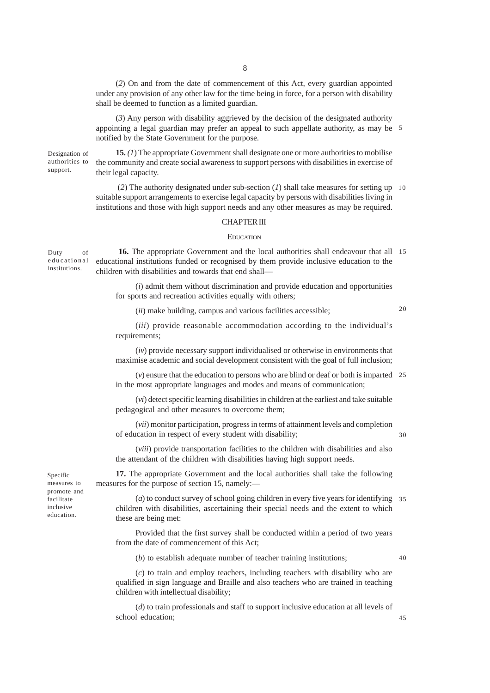(*2*) On and from the date of commencement of this Act, every guardian appointed under any provision of any other law for the time being in force, for a person with disability shall be deemed to function as a limited guardian.

(*3*) Any person with disability aggrieved by the decision of the designated authority appointing a legal guardian may prefer an appeal to such appellate authority, as may be 5 notified by the State Government for the purpose.

Designation of authorities to support.

**15.** *(1*) The appropriate Government shall designate one or more authorities to mobilise the community and create social awareness to support persons with disabilities in exercise of their legal capacity.

 (*2*) The authority designated under sub-section (*1*) shall take measures for setting up 10 suitable support arrangements to exercise legal capacity by persons with disabilities living in institutions and those with high support needs and any other measures as may be required.

## CHAPTER III

#### **EDUCATION**

Duty of educational institutions.

16. The appropriate Government and the local authorities shall endeavour that all 15 educational institutions funded or recognised by them provide inclusive education to the children with disabilities and towards that end shall—

> (*i*) admit them without discrimination and provide education and opportunities for sports and recreation activities equally with others;

(*ii*) make building, campus and various facilities accessible;

20

(*iii*) provide reasonable accommodation according to the individual's requirements;

(*iv*) provide necessary support individualised or otherwise in environments that maximise academic and social development consistent with the goal of full inclusion;

(*v*) ensure that the education to persons who are blind or deaf or both is imparted 25 in the most appropriate languages and modes and means of communication;

(*vi*) detect specific learning disabilities in children at the earliest and take suitable pedagogical and other measures to overcome them;

(*vii*) monitor participation, progress in terms of attainment levels and completion of education in respect of every student with disability;

30

(*viii*) provide transportation facilities to the children with disabilities and also the attendant of the children with disabilities having high support needs.

**17.** The appropriate Government and the local authorities shall take the following measures for the purpose of section 15, namely:—

(*a*) to conduct survey of school going children in every five years for identifying 35 children with disabilities, ascertaining their special needs and the extent to which these are being met:

Provided that the first survey shall be conducted within a period of two years from the date of commencement of this Act;

(*b*) to establish adequate number of teacher training institutions;

40

45

(*c*) to train and employ teachers, including teachers with disability who are qualified in sign language and Braille and also teachers who are trained in teaching children with intellectual disability;

(*d*) to train professionals and staff to support inclusive education at all levels of school education;

Specific measures to promote and **facilitate** inclusive education.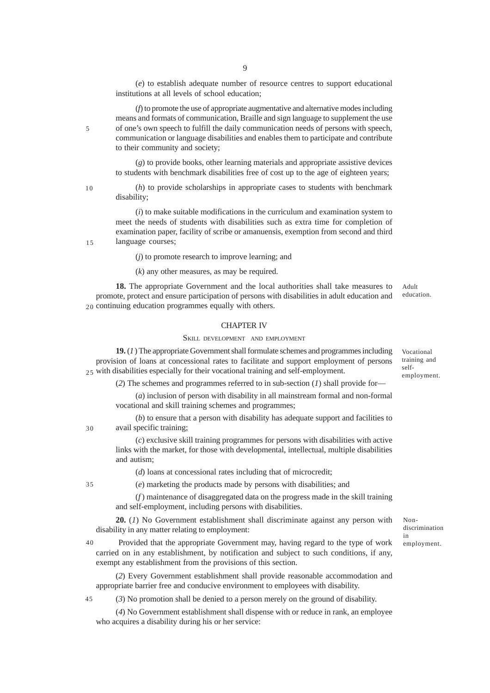(*e*) to establish adequate number of resource centres to support educational institutions at all levels of school education;

(*f*) to promote the use of appropriate augmentative and alternative modes including means and formats of communication, Braille and sign language to supplement the use of one's own speech to fulfill the daily communication needs of persons with speech, communication or language disabilities and enables them to participate and contribute to their community and society;

(*g*) to provide books, other learning materials and appropriate assistive devices to students with benchmark disabilities free of cost up to the age of eighteen years;

(*h*) to provide scholarships in appropriate cases to students with benchmark disability;

(*i*) to make suitable modifications in the curriculum and examination system to meet the needs of students with disabilities such as extra time for completion of examination paper, facility of scribe or amanuensis, exemption from second and third language courses;

(*j*) to promote research to improve learning; and

(*k*) any other measures, as may be required.

**18.** The appropriate Government and the local authorities shall take measures to promote, protect and ensure participation of persons with disabilities in adult education and 20 continuing education programmes equally with others. Adult education.

#### CHAPTER IV

## SKILL DEVELOPMENT AND EMPLOYMENT

**19.** (*1*) The appropriate Government shall formulate schemes and programmes including provision of loans at concessional rates to facilitate and support employment of persons  $25$  with disabilities especially for their vocational training and self-employment.

(*2*) The schemes and programmes referred to in sub-section (*1*) shall provide for—

(*a*) inclusion of person with disability in all mainstream formal and non-formal vocational and skill training schemes and programmes;

(*b*) to ensure that a person with disability has adequate support and facilities to avail specific training;

(*c*) exclusive skill training programmes for persons with disabilities with active links with the market, for those with developmental, intellectual, multiple disabilities and autism;

(*d*) loans at concessional rates including that of microcredit;

(*e*) marketing the products made by persons with disabilities; and

35

30

(*f* ) maintenance of disaggregated data on the progress made in the skill training

and self-employment, including persons with disabilities.

**20.** (*1*) No Government establishment shall discriminate against any person with disability in any matter relating to employment:

 Provided that the appropriate Government may, having regard to the type of work carried on in any establishment, by notification and subject to such conditions, if any, exempt any establishment from the provisions of this section. 40

(*2*) Every Government establishment shall provide reasonable accommodation and appropriate barrier free and conducive environment to employees with disability.

(*3*) No promotion shall be denied to a person merely on the ground of disability. 45

(*4*) No Government establishment shall dispense with or reduce in rank, an employee who acquires a disability during his or her service:

Vocational training and selfemployment.

Nondiscrimination in employment.

10

15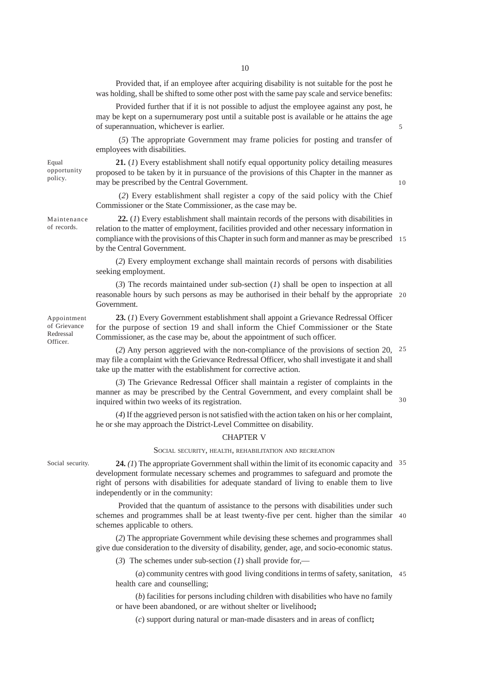Provided that, if an employee after acquiring disability is not suitable for the post he was holding, shall be shifted to some other post with the same pay scale and service benefits:

Provided further that if it is not possible to adjust the employee against any post, he may be kept on a supernumerary post until a suitable post is available or he attains the age of superannuation, whichever is earlier.

 (*5*) The appropriate Government may frame policies for posting and transfer of employees with disabilities.

**21.** (*1*) Every establishment shall notify equal opportunity policy detailing measures proposed to be taken by it in pursuance of the provisions of this Chapter in the manner as may be prescribed by the Central Government.

 (*2*) Every establishment shall register a copy of the said policy with the Chief Commissioner or the State Commissioner, as the case may be.

 **22.** (*1*) Every establishment shall maintain records of the persons with disabilities in relation to the matter of employment, facilities provided and other necessary information in compliance with the provisions of this Chapter in such form and manner as may be prescribed 15 by the Central Government.

(*2*) Every employment exchange shall maintain records of persons with disabilities seeking employment.

(*3*) The records maintained under sub-section (*1*) shall be open to inspection at all reasonable hours by such persons as may be authorised in their behalf by the appropriate 20 Government.

**23.** (*1*) Every Government establishment shall appoint a Grievance Redressal Officer for the purpose of section 19 and shall inform the Chief Commissioner or the State Commissioner, as the case may be, about the appointment of such officer.

(*2*) Any person aggrieved with the non-compliance of the provisions of section 20, 25 may file a complaint with the Grievance Redressal Officer, who shall investigate it and shall take up the matter with the establishment for corrective action.

(*3*) The Grievance Redressal Officer shall maintain a register of complaints in the manner as may be prescribed by the Central Government, and every complaint shall be inquired within two weeks of its registration.

30

(*4*) If the aggrieved person is not satisfied with the action taken on his or her complaint, he or she may approach the District-Level Committee on disability.

## CHAPTER V

#### SOCIAL SECURITY, HEALTH, REHABILITATION AND RECREATION

Social security.

**Equal** opportunity policy.

Maintenance of records.

Appointment of Grievance Redressal Officer.

> **24.** *(1*) The appropriate Government shall within the limit of its economic capacity and 35 development formulate necessary schemes and programmes to safeguard and promote the right of persons with disabilities for adequate standard of living to enable them to live independently or in the community:

> Provided that the quantum of assistance to the persons with disabilities under such schemes and programmes shall be at least twenty-five per cent. higher than the similar 40 schemes applicable to others.

(*2*) The appropriate Government while devising these schemes and programmes shall give due consideration to the diversity of disability, gender, age, and socio-economic status.

(*3*) The schemes under sub-section (*1*) shall provide for,—

(*a*) community centres with good living conditions in terms of safety, sanitation, 45health care and counselling;

(*b*) facilities for persons including children with disabilities who have no family or have been abandoned, or are without shelter or livelihood**;**

(*c*) support during natural or man-made disasters and in areas of conflict**;**

10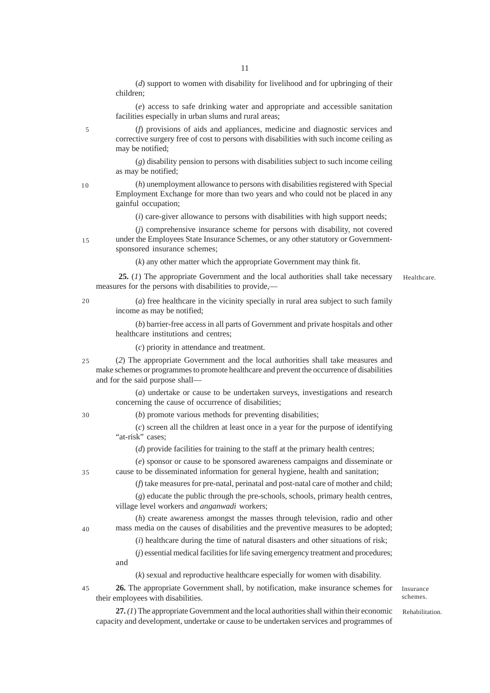(*d*) support to women with disability for livelihood and for upbringing of their children;

(*e*) access to safe drinking water and appropriate and accessible sanitation facilities especially in urban slums and rural areas;

5

(*f*) provisions of aids and appliances, medicine and diagnostic services and corrective surgery free of cost to persons with disabilities with such income ceiling as may be notified;

(*g*) disability pension to persons with disabilities subject to such income ceiling as may be notified;

10

15

20

(*h*) unemployment allowance to persons with disabilities registered with Special Employment Exchange for more than two years and who could not be placed in any gainful occupation;

(*i*) care-giver allowance to persons with disabilities with high support needs;

(*j*) comprehensive insurance scheme for persons with disability, not covered under the Employees State Insurance Schemes, or any other statutory or Governmentsponsored insurance schemes;

(*k*) any other matter which the appropriate Government may think fit.

 **25.** (*1*) The appropriate Government and the local authorities shall take necessary measures for the persons with disabilities to provide,—

Healthcare.

(*a*) free healthcare in the vicinity specially in rural area subject to such family income as may be notified;

(*b*) barrier-free access in all parts of Government and private hospitals and other healthcare institutions and centres;

(*c*) priority in attendance and treatment.

(*2*) The appropriate Government and the local authorities shall take measures and make schemes or programmes to promote healthcare and prevent the occurrence of disabilities and for the said purpose shall— 25

> (*a*) undertake or cause to be undertaken surveys, investigations and research concerning the cause of occurrence of disabilities;

30

40

- (*b*) promote various methods for preventing disabilities;
- (*c*) screen all the children at least once in a year for the purpose of identifying "at-risk" cases;
	- (*d*) provide facilities for training to the staff at the primary health centres;

(*e*) sponsor or cause to be sponsored awareness campaigns and disseminate or cause to be disseminated information for general hygiene, health and sanitation; 35

(*f*) take measures for pre-natal, perinatal and post-natal care of mother and child;

(*g*) educate the public through the pre-schools, schools, primary health centres, village level workers and *anganwadi* workers;

(*h*) create awareness amongst the masses through television, radio and other mass media on the causes of disabilities and the preventive measures to be adopted;

- (*i*) healthcare during the time of natural disasters and other situations of risk;
- (*j*) essential medical facilities for life saving emergency treatment and procedures; and

(*k*) sexual and reproductive healthcare especially for women with disability.

**26.** The appropriate Government shall, by notification, make insurance schemes for their employees with disabilities. 45

Insurance schemes.

**27.** *(1*) The appropriate Government and the local authorities shall within their economic capacity and development, undertake or cause to be undertaken services and programmes of Rehabilitation.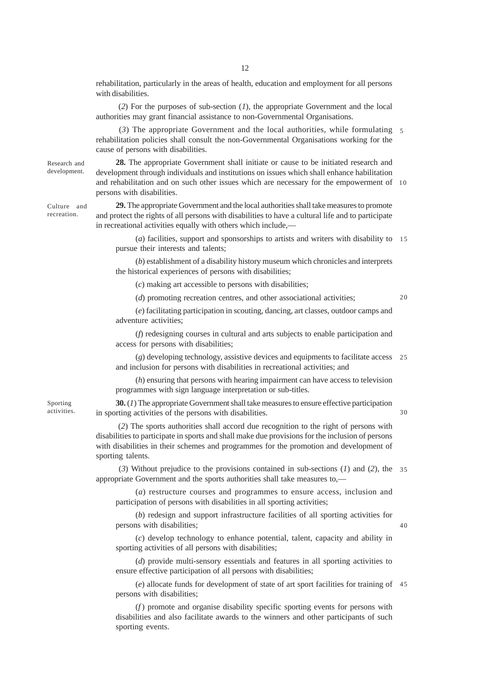rehabilitation, particularly in the areas of health, education and employment for all persons with disabilities.

 (*2*) For the purposes of sub-section (*1*), the appropriate Government and the local authorities may grant financial assistance to non-Governmental Organisations.

 (*3*) The appropriate Government and the local authorities, while formulating 5 rehabilitation policies shall consult the non-Governmental Organisations working for the cause of persons with disabilities.

Research and development.

Culture and recreation.

**28.** The appropriate Government shall initiate or cause to be initiated research and development through individuals and institutions on issues which shall enhance habilitation and rehabilitation and on such other issues which are necessary for the empowerment of 10 persons with disabilities.

**29.** The appropriate Government and the local authorities shall take measures to promote and protect the rights of all persons with disabilities to have a cultural life and to participate in recreational activities equally with others which include,—

(*a*) facilities, support and sponsorships to artists and writers with disability to 15 pursue their interests and talents;

(*b*) establishment of a disability history museum which chronicles and interprets the historical experiences of persons with disabilities;

(*c*) making art accessible to persons with disabilities;

(*d*) promoting recreation centres, and other associational activities;

20

(*e*) facilitating participation in scouting, dancing, art classes, outdoor camps and adventure activities;

(*f*) redesigning courses in cultural and arts subjects to enable participation and access for persons with disabilities;

(*g*) developing technology, assistive devices and equipments to facilitate access 25 and inclusion for persons with disabilities in recreational activities; and

(*h*) ensuring that persons with hearing impairment can have access to television programmes with sign language interpretation or sub-titles.

**30.** (*1*)The appropriate Government shall take measures to ensure effective participation in sporting activities of the persons with disabilities. Sporting activities.

 $30$ 

 (*2*) The sports authorities shall accord due recognition to the right of persons with disabilities to participate in sports and shall make due provisions for the inclusion of persons with disabilities in their schemes and programmes for the promotion and development of sporting talents.

 (*3*) Without prejudice to the provisions contained in sub-sections (*1*) and (*2*), the 35 appropriate Government and the sports authorities shall take measures to,—

(*a*) restructure courses and programmes to ensure access, inclusion and participation of persons with disabilities in all sporting activities;

(*b*) redesign and support infrastructure facilities of all sporting activities for persons with disabilities;

(*c*) develop technology to enhance potential, talent, capacity and ability in sporting activities of all persons with disabilities;

(*d*) provide multi-sensory essentials and features in all sporting activities to ensure effective participation of all persons with disabilities;

(*e*) allocate funds for development of state of art sport facilities for training of 45persons with disabilities;

(*f* ) promote and organise disability specific sporting events for persons with disabilities and also facilitate awards to the winners and other participants of such sporting events.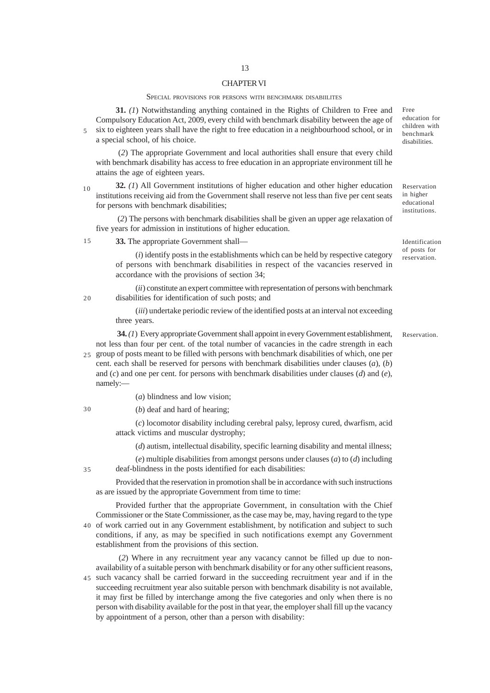#### CHAPTER VI

#### SPECIAL PROVISIONS FOR PERSONS WITH BENCHMARK DISABIILITES

**31.** *(1*) Notwithstanding anything contained in the Rights of Children to Free and Compulsory Education Act, 2009, every child with benchmark disability between the age of six to eighteen years shall have the right to free education in a neighbourhood school, or in a special school, of his choice. 5

 (*2*) The appropriate Government and local authorities shall ensure that every child with benchmark disability has access to free education in an appropriate environment till he attains the age of eighteen years.

**32.** *(1*) All Government institutions of higher education and other higher education institutions receiving aid from the Government shall reserve not less than five per cent seats for persons with benchmark disabilities; 10

 (*2*) The persons with benchmark disabilities shall be given an upper age relaxation of five years for admission in institutions of higher education.

**33.** The appropriate Government shall— 15

> (*i*) identify posts in the establishments which can be held by respective category of persons with benchmark disabilities in respect of the vacancies reserved in accordance with the provisions of section 34;

(*ii*) constitute an expert committee with representation of persons with benchmark disabilities for identification of such posts; and

(*iii*) undertake periodic review of the identified posts at an interval not exceeding three years.

 **34.** *(1*) Every appropriate Government shall appoint in every Government establishment, not less than four per cent. of the total number of vacancies in the cadre strength in each

25 group of posts meant to be filled with persons with benchmark disabilities of which, one per cent. each shall be reserved for persons with benchmark disabilities under clauses (*a*), (*b*) and (*c*) and one per cent. for persons with benchmark disabilities under clauses (*d*) and (*e*), namely:—

(*a*) blindness and low vision;

30

20

(*b*) deaf and hard of hearing;

(*c*) locomotor disability including cerebral palsy, leprosy cured, dwarfism, acid attack victims and muscular dystrophy;

(*d*) autism, intellectual disability, specific learning disability and mental illness;

(*e*) multiple disabilities from amongst persons under clauses (*a*) to (*d*) including deaf-blindness in the posts identified for each disabilities: 35

Provided that the reservation in promotion shall be in accordance with such instructions as are issued by the appropriate Government from time to time:

Provided further that the appropriate Government, in consultation with the Chief Commissioner or the State Commissioner, as the case may be, may, having regard to the type 40 of work carried out in any Government establishment, by notification and subject to such conditions, if any, as may be specified in such notifications exempt any Government establishment from the provisions of this section.

 (*2*) Where in any recruitment year any vacancy cannot be filled up due to nonavailability of a suitable person with benchmark disability or for any other sufficient reasons, 45 such vacancy shall be carried forward in the succeeding recruitment year and if in the succeeding recruitment year also suitable person with benchmark disability is not available, it may first be filled by interchange among the five categories and only when there is no person with disability available for the post in that year, the employer shall fill up the vacancy by appointment of a person, other than a person with disability:

Free education for children with benchmark disabilities.

Reservation in higher educational institutions.

Identification of posts for reservation.

Reservation.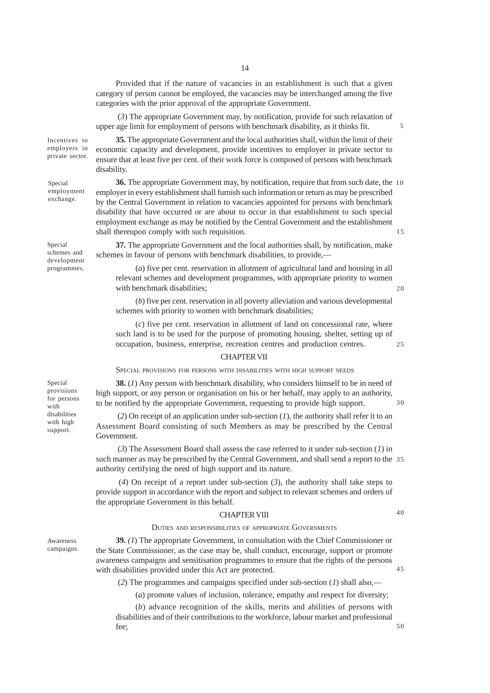Provided that if the nature of vacancies in an establishment is such that a given category of person cannot be employed, the vacancies may be interchanged among the five categories with the prior approval of the appropriate Government.

 (*3*) The appropriate Government may, by notification, provide for such relaxation of upper age limit for employment of persons with benchmark disability, as it thinks fit.

Incentives to employers in private sector.

Special employment exchange.

Special schemes and development programmes.

Special provisions for persons with disabilities with high support.

Awareness campaigns.

**35.** The appropriate Government and the local authorities shall, within the limit of their economic capacity and development, provide incentives to employer in private sector to ensure that at least five per cent. of their work force is composed of persons with benchmark disability.

**36.** The appropriate Government may, by notification, require that from such date, the 10 employer in every establishment shall furnish such information or return as may be prescribed by the Central Government in relation to vacancies appointed for persons with benchmark disability that have occurred or are about to occur in that establishment to such special employment exchange as may be notified by the Central Government and the establishment shall thereupon comply with such requisition. 15

**37.** The appropriate Government and the local authorities shall, by notification, make schemes in favour of persons with benchmark disabilities, to provide,—

(*a*) five per cent. reservation in allotment of agricultural land and housing in all relevant schemes and development programmes, with appropriate priority to women with benchmark disabilities; 20

(*b*) five per cent. reservation in all poverty alleviation and various developmental schemes with priority to women with benchmark disabilities;

(*c*) five per cent. reservation in allotment of land on concessional rate, where such land is to be used for the purpose of promoting housing, shelter, setting up of occupation, business, enterprise, recreation centres and production centres. 25

## CHAPTER VII

SPECIAL PROVISIONS FOR PERSONS WITH DISABILITIES WITH HIGH SUPPORT NEEDS

**38.** (*1*) Any person with benchmark disability, who considers himself to be in need of high support, or any person or organisation on his or her behalf, may apply to an authority, to be notified by the appropriate Government, requesting to provide high support. 30

 (*2*) On receipt of an application under sub-section (*1*), the authority shall refer it to an Assessment Board consisting of such Members as may be prescribed by the Central Government.

 (*3*) The Assessment Board shall assess the case referred to it under sub-section (*1*) in such manner as may be prescribed by the Central Government, and shall send a report to the 35 authority certifying the need of high support and its nature.

 (*4*) On receipt of a report under sub-section (*3*), the authority shall take steps to provide support in accordance with the report and subject to relevant schemes and orders of the appropriate Government in this behalf.

#### CHAPTER VIII

40

5

## DUTIES AND RESPONSIBILITIES OF APPROPRIATE GOVERNMENTS

**39.** *(1*) The appropriate Government, in consultation with the Chief Commissioner or the State Commissioner, as the case may be, shall conduct, encourage, support or promote awareness campaigns and sensitisation programmes to ensure that the rights of the persons with disabilities provided under this Act are protected.

(*2*) The programmes and campaigns specified under sub-section (*1*) shall also,—

(*a*) promote values of inclusion, tolerance, empathy and respect for diversity;

(*b*) advance recognition of the skills, merits and abilities of persons with disabilities and of their contributions to the workforce, labour market and professional fee; 50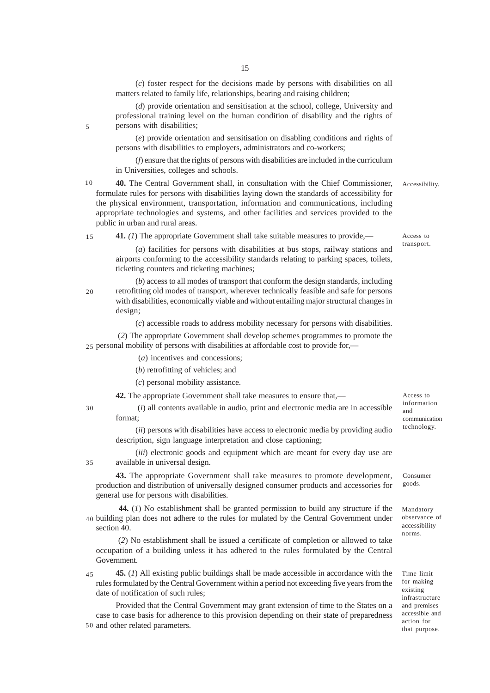(*c*) foster respect for the decisions made by persons with disabilities on all matters related to family life, relationships, bearing and raising children;

(*d*) provide orientation and sensitisation at the school, college, University and professional training level on the human condition of disability and the rights of persons with disabilities;

(*e*) provide orientation and sensitisation on disabling conditions and rights of persons with disabilities to employers, administrators and co-workers;

(*f*) ensure that the rights of persons with disabilities are included in the curriculum in Universities, colleges and schools.

**40.** The Central Government shall, in consultation with the Chief Commissioner, formulate rules for persons with disabilities laying down the standards of accessibility for the physical environment, transportation, information and communications, including appropriate technologies and systems, and other facilities and services provided to the public in urban and rural areas. Accessibility. 10

**41.** *(1*) The appropriate Government shall take suitable measures to provide,— 15

> (*a*) facilities for persons with disabilities at bus stops, railway stations and airports conforming to the accessibility standards relating to parking spaces, toilets, ticketing counters and ticketing machines;

(*b*) access to all modes of transport that conform the design standards, including retrofitting old modes of transport, wherever technically feasible and safe for persons with disabilities, economically viable and without entailing major structural changes in design;  $20$ 

(*c*) accessible roads to address mobility necessary for persons with disabilities.

(*2*) The appropriate Government shall develop schemes programmes to promote the personal mobility of persons with disabilities at affordable cost to provide for,— 25

- (*a*) incentives and concessions;
- (*b*) retrofitting of vehicles; and
- (*c*) personal mobility assistance.

**42.** The appropriate Government shall take measures to ensure that,—

30

35

5

 (*i*) all contents available in audio, print and electronic media are in accessible format;

(*ii*) persons with disabilities have access to electronic media by providing audio description, sign language interpretation and close captioning;

(*iii*) electronic goods and equipment which are meant for every day use are available in universal design.

**43.** The appropriate Government shall take measures to promote development, production and distribution of universally designed consumer products and accessories for general use for persons with disabilities.

**44.** (*1*) No establishment shall be granted permission to build any structure if the building plan does not adhere to the rules for mulated by the Central Government under 40 section 40.

 (*2*) No establishment shall be issued a certificate of completion or allowed to take occupation of a building unless it has adhered to the rules formulated by the Central Government.

**45.** (*1*) All existing public buildings shall be made accessible in accordance with the rules formulated by the Central Government within a period not exceeding five years from the date of notification of such rules; 45

Provided that the Central Government may grant extension of time to the States on a case to case basis for adherence to this provision depending on their state of preparedness 50 and other related parameters.  $\frac{1}{2}$  that purpose.

Access to information and communication technology.

Consumer goods.

Mandatory observance of accessibility norms.

Time limit for making existing infrastructure and premises accessible and action for

Access to transport.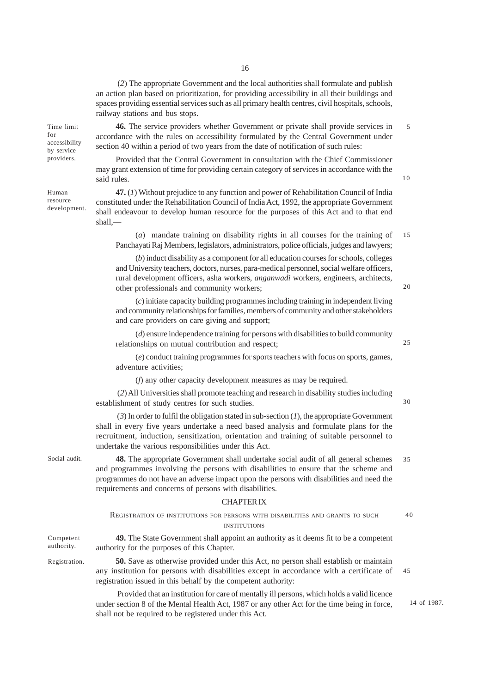(*2*) The appropriate Government and the local authorities shall formulate and publish an action plan based on prioritization, for providing accessibility in all their buildings and spaces providing essential services such as all primary health centres, civil hospitals, schools, railway stations and bus stops.

Time limit for accessibility by service providers.

Human resource development.

**46.** The service providers whether Government or private shall provide services in accordance with the rules on accessibility formulated by the Central Government under section 40 within a period of two years from the date of notification of such rules:

Provided that the Central Government in consultation with the Chief Commissioner may grant extension of time for providing certain category of services in accordance with the said rules.

**47.** (*1*) Without prejudice to any function and power of Rehabilitation Council of India constituted under the Rehabilitation Council of India Act, 1992, the appropriate Government shall endeavour to develop human resource for the purposes of this Act and to that end shall,—

(*a*) mandate training on disability rights in all courses for the training of Panchayati Raj Members, legislators, administrators, police officials, judges and lawyers; 15

(*b*) induct disability as a component for all education courses for schools, colleges and University teachers, doctors, nurses, para-medical personnel, social welfare officers, rural development officers, asha workers, *anganwadi* workers, engineers, architects, other professionals and community workers;

(*c*) initiate capacity building programmes including training in independent living and community relationships for families, members of community and other stakeholders and care providers on care giving and support;

(*d*) ensure independence training for persons with disabilities to build community relationships on mutual contribution and respect;

(*e*) conduct training programmes for sports teachers with focus on sports, games, adventure activities;

(*f*) any other capacity development measures as may be required.

 (*2*) All Universities shall promote teaching and research in disability studies including establishment of study centres for such studies.

 (*3*) In order to fulfil the obligation stated in sub-section (*1*), the appropriate Government shall in every five years undertake a need based analysis and formulate plans for the recruitment, induction, sensitization, orientation and training of suitable personnel to undertake the various responsibilities under this Act.

Social audit.

**48.** The appropriate Government shall undertake social audit of all general schemes and programmes involving the persons with disabilities to ensure that the scheme and programmes do not have an adverse impact upon the persons with disabilities and need the requirements and concerns of persons with disabilities. 35

#### CHAPTER IX

REGISTRATION OF INSTITUTIONS FOR PERSONS WITH DISABILITIES AND GRANTS TO SUCH INSTITUTIONS

**49.** The State Government shall appoint an authority as it deems fit to be a competent authority for the purposes of this Chapter.

Registration.

Competent authority.

> **50.** Save as otherwise provided under this Act, no person shall establish or maintain any institution for persons with disabilities except in accordance with a certificate of registration issued in this behalf by the competent authority: 45

 Provided that an institution for care of mentally ill persons, which holds a valid licence under section 8 of the Mental Health Act, 1987 or any other Act for the time being in force, shall not be required to be registered under this Act.

10

5

25

30

40

 $20$ 

14 of 1987.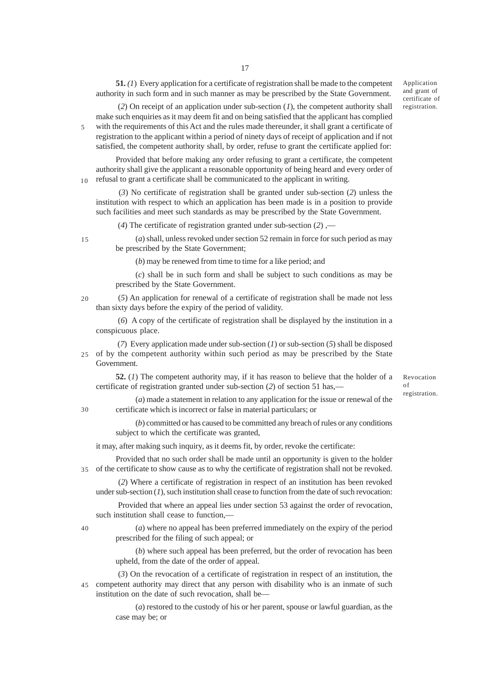**51.** *(1*) Every application for a certificate of registration shall be made to the competent authority in such form and in such manner as may be prescribed by the State Government.

 (*2*) On receipt of an application under sub-section (*1*), the competent authority shall make such enquiries as it may deem fit and on being satisfied that the applicant has complied with the requirements of this Act and the rules made thereunder, it shall grant a certificate of registration to the applicant within a period of ninety days of receipt of application and if not satisfied, the competent authority shall, by order, refuse to grant the certificate applied for:

Provided that before making any order refusing to grant a certificate, the competent authority shall give the applicant a reasonable opportunity of being heard and every order of refusal to grant a certificate shall be communicated to the applicant in writing. 10

 (*3*) No certificate of registration shall be granted under sub-section (*2*) unless the institution with respect to which an application has been made is in a position to provide such facilities and meet such standards as may be prescribed by the State Government.

(*4*) The certificate of registration granted under sub-section (*2*) ,—

15

5

(*a*) shall, unless revoked under section 52 remain in force for such period as may be prescribed by the State Government;

(*b*) may be renewed from time to time for a like period; and

(*c*) shall be in such form and shall be subject to such conditions as may be prescribed by the State Government.

 (*5*) An application for renewal of a certificate of registration shall be made not less than sixty days before the expiry of the period of validity.

 (*6*) A copy of the certificate of registration shall be displayed by the institution in a conspicuous place.

 (*7*) Every application made under sub-section (*1*) or sub-section (*5*) shall be disposed 25 of by the competent authority within such period as may be prescribed by the State Government.

**52.** (*1*) The competent authority may, if it has reason to believe that the holder of a certificate of registration granted under sub-section (2) of section 51 has,-

Revocation of registration.

(*a*) made a statement in relation to any application for the issue or renewal of the certificate which is incorrect or false in material particulars; or

(*b*) committed or has caused to be committed any breach of rules or any conditions subject to which the certificate was granted,

it may, after making such inquiry, as it deems fit, by order, revoke the certificate:

Provided that no such order shall be made until an opportunity is given to the holder of the certificate to show cause as to why the certificate of registration shall not be revoked. 35

 (*2*) Where a certificate of registration in respect of an institution has been revoked under sub-section (*1*), such institution shall cease to function from the date of such revocation:

 Provided that where an appeal lies under section 53 against the order of revocation, such institution shall cease to function,-

40

(*a*) where no appeal has been preferred immediately on the expiry of the period prescribed for the filing of such appeal; or

(*b*) where such appeal has been preferred, but the order of revocation has been upheld, from the date of the order of appeal.

 (*3*) On the revocation of a certificate of registration in respect of an institution, the competent authority may direct that any person with disability who is an inmate of such institution on the date of such revocation, shall be— 45

> (*a*) restored to the custody of his or her parent, spouse or lawful guardian, as the case may be; or

20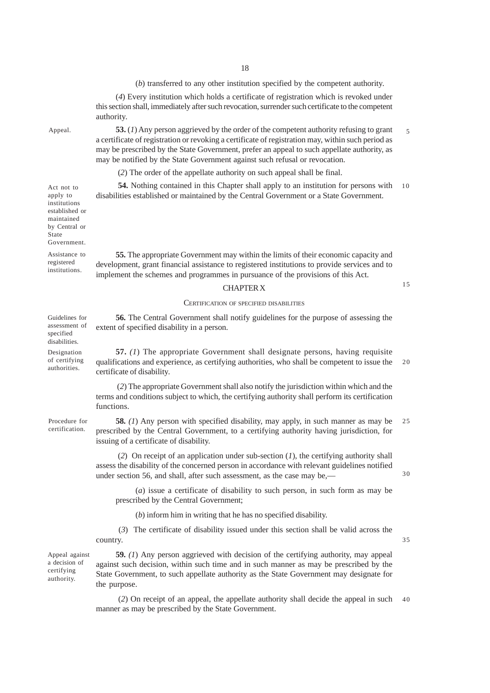(*b*) transferred to any other institution specified by the competent authority.

(*4*) Every institution which holds a certificate of registration which is revoked under this section shall, immediately after such revocation, surrender such certificate to the competent authority.

Appeal.

**53.** (*1*) Any person aggrieved by the order of the competent authority refusing to grant a certificate of registration or revoking a certificate of registration may, within such period as may be prescribed by the State Government, prefer an appeal to such appellate authority, as may be notified by the State Government against such refusal or revocation.

(*2*) The order of the appellate authority on such appeal shall be final.

**54.** Nothing contained in this Chapter shall apply to an institution for persons with disabilities established or maintained by the Central Government or a State Government. 10

**55.** The appropriate Government may within the limits of their economic capacity and development, grant financial assistance to registered institutions to provide services and to implement the schemes and programmes in pursuance of the provisions of this Act.

#### CHAPTER X

#### CERTIFICATION OF SPECIFIED DISABILITIES

**56.** The Central Government shall notify guidelines for the purpose of assessing the extent of specified disability in a person. Guidelines for

assessment of specified disabilities.

Designation of certifying authorities.

Procedure for certification.

**57.** *(1*) The appropriate Government shall designate persons, having requisite qualifications and experience, as certifying authorities, who shall be competent to issue the certificate of disability. 20

 (*2*) The appropriate Government shall also notify the jurisdiction within which and the terms and conditions subject to which, the certifying authority shall perform its certification functions.

**58.** *(1*) Any person with specified disability, may apply, in such manner as may be prescribed by the Central Government, to a certifying authority having jurisdiction, for issuing of a certificate of disability.  $25$ 

 (*2*) On receipt of an application under sub-section (*1*), the certifying authority shall assess the disability of the concerned person in accordance with relevant guidelines notified under section 56, and shall, after such assessment, as the case may be,—

30

35

(*a*) issue a certificate of disability to such person, in such form as may be prescribed by the Central Government;

(*b*) inform him in writing that he has no specified disability.

 (*3*) The certificate of disability issued under this section shall be valid across the country.

Appeal against a decision of certifying authority.

**59.** *(1*) Any person aggrieved with decision of the certifying authority, may appeal against such decision, within such time and in such manner as may be prescribed by the State Government, to such appellate authority as the State Government may designate for the purpose.

 (*2*) On receipt of an appeal, the appellate authority shall decide the appeal in such manner as may be prescribed by the State Government. 40

apply to institutions established or maintained by Central or State Government.

Act not to

Assistance to registered institutions.

15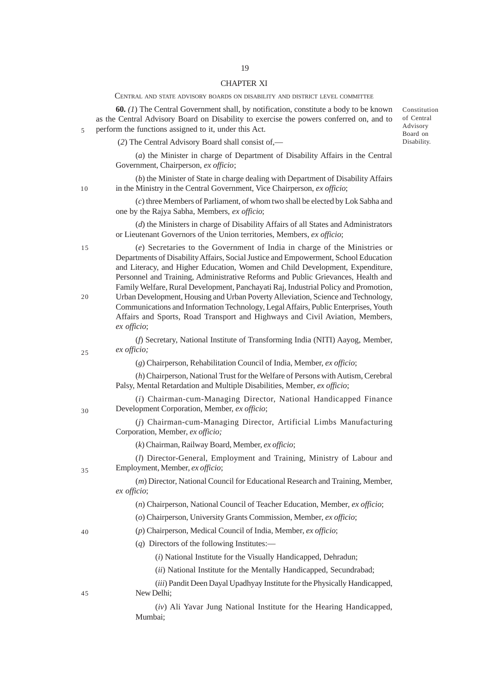## CHAPTER XI

CENTRAL AND STATE ADVISORY BOARDS ON DISABILITY AND DISTRICT LEVEL COMMITTEE

**60.** *(1*) The Central Government shall, by notification, constitute a body to be known as the Central Advisory Board on Disability to exercise the powers conferred on, and to perform the functions assigned to it, under this Act.

Constitution of Central Advisory Board on Disability.

(*2*) The Central Advisory Board shall consist of,—

(*a*) the Minister in charge of Department of Disability Affairs in the Central Government, Chairperson, *ex officio*;

(*b*) the Minister of State in charge dealing with Department of Disability Affairs in the Ministry in the Central Government, Vice Chairperson, *ex officio*;

(*c*) three Members of Parliament, of whom two shall be elected by Lok Sabha and one by the Rajya Sabha, Members, *ex officio*;

(*d*) the Ministers in charge of Disability Affairs of all States and Administrators or Lieutenant Governors of the Union territories, Members, *ex officio*;

| (e) Secretaries to the Government of India in charge of the Ministries or           |
|-------------------------------------------------------------------------------------|
| Departments of Disability Affairs, Social Justice and Empowerment, School Education |
| and Literacy, and Higher Education, Women and Child Development, Expenditure,       |
| Personnel and Training, Administrative Reforms and Public Grievances, Health and    |
| Family Welfare, Rural Development, Panchayati Raj, Industrial Policy and Promotion, |
| Urban Development, Housing and Urban Poverty Alleviation, Science and Technology,   |
| Communications and Information Technology, Legal Affairs, Public Enterprises, Youth |
| Affairs and Sports, Road Transport and Highways and Civil Aviation, Members,        |
| $ex$ officio;                                                                       |
|                                                                                     |

(*f*) Secretary, National Institute of Transforming India (NITI) Aayog, Member, *ex officio;*

(*g*) Chairperson, Rehabilitation Council of India, Member, *ex officio*;

(*h*) Chairperson, National Trust for the Welfare of Persons with Autism, Cerebral Palsy, Mental Retardation and Multiple Disabilities, Member, *ex officio*;

|  | (i) Chairman-cum-Managing Director, National Handicapped Finance |  |  |
|--|------------------------------------------------------------------|--|--|
|  | Development Corporation, Member, ex officio;                     |  |  |

(*j*) Chairman-cum-Managing Director, Artificial Limbs Manufacturing Corporation, Member, *ex officio;*

(*k*) Chairman, Railway Board, Member, *ex officio*;

(*l*) Director-General, Employment and Training, Ministry of Labour and Employment, Member, *ex officio*;

(*m*) Director, National Council for Educational Research and Training, Member, *ex officio*;

(*n*) Chairperson, National Council of Teacher Education, Member, *ex officio*;

(*o*) Chairperson, University Grants Commission, Member, *ex officio*;

(*p*) Chairperson, Medical Council of India, Member, *ex officio*;

(*q*) Directors of the following Institutes:—

(*i*) National Institute for the Visually Handicapped, Dehradun;

(*ii*) National Institute for the Mentally Handicapped, Secundrabad;

| (iii) Pandit Deen Dayal Upadhyay Institute for the Physically Handicapped, |
|----------------------------------------------------------------------------|
| New Delhi:                                                                 |

(*iv*) Ali Yavar Jung National Institute for the Hearing Handicapped, Mumbai;

45

40

5

10

15

 $20$ 

 $25$ 

30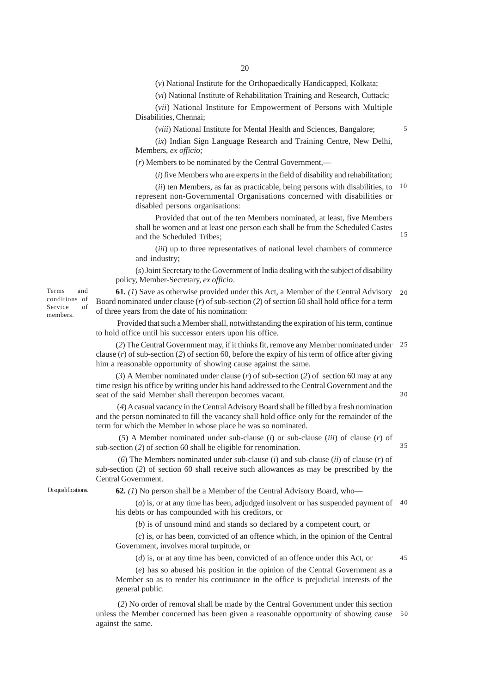(*v*) National Institute for the Orthopaedically Handicapped, Kolkata;

(*vi*) National Institute of Rehabilitation Training and Research, Cuttack;

(*vii*) National Institute for Empowerment of Persons with Multiple Disabilities, Chennai;

(*viii*) National Institute for Mental Health and Sciences, Bangalore;

(*ix*) Indian Sign Language Research and Training Centre, New Delhi, Members, *ex officio;*

(*r*) Members to be nominated by the Central Government,—

(*i*) five Members who are experts in the field of disability and rehabilitation;

(*ii*) ten Members, as far as practicable, being persons with disabilities, to 10 represent non-Governmental Organisations concerned with disabilities or disabled persons organisations:

Provided that out of the ten Members nominated, at least, five Members shall be women and at least one person each shall be from the Scheduled Castes and the Scheduled Tribes;

(*iii*) up to three representatives of national level chambers of commerce and industry;

(*s*) Joint Secretary to the Government of India dealing with the subject of disability policy, Member-Secretary, *ex officio*.

**61.** *(1*) Save as otherwise provided under this Act, a Member of the Central Advisory 20 Board nominated under clause (*r*) of sub-section (*2*) of section 60 shall hold office for a term of three years from the date of his nomination:

 Provided that such a Member shall, notwithstanding the expiration of his term, continue to hold office until his successor enters upon his office.

(*2*) The Central Government may, if it thinks fit, remove any Member nominated under 25 clause (*r*) of sub-section (*2*) of section 60, before the expiry of his term of office after giving him a reasonable opportunity of showing cause against the same.

(*3*) A Member nominated under clause (*r*) of sub-section (*2*) of section 60 may at any time resign his office by writing under his hand addressed to the Central Government and the seat of the said Member shall thereupon becomes vacant.

 (*4*) A casual vacancy in the Central Advisory Board shall be filled by a fresh nomination and the person nominated to fill the vacancy shall hold office only for the remainder of the term for which the Member in whose place he was so nominated.

 (*5*) A Member nominated under sub-clause (*i*) or sub-clause (*iii*) of clause (*r*) of sub-section (*2*) of section 60 shall be eligible for renomination.

 (*6*) The Members nominated under sub-clause (*i*) and sub-clause (*ii*) of clause (*r*) of sub-section (*2*) of section 60 shall receive such allowances as may be prescribed by the Central Government.

**Disqualifications** 

**62.** *(1*) No person shall be a Member of the Central Advisory Board, who—

(*a*) is, or at any time has been, adjudged insolvent or has suspended payment of 40 his debts or has compounded with his creditors, or

(*b*) is of unsound mind and stands so declared by a competent court, or

(*c*) is, or has been, convicted of an offence which, in the opinion of the Central Government, involves moral turpitude, or

(*d*) is, or at any time has been, convicted of an offence under this Act, or

45

(*e*) has so abused his position in the opinion of the Central Government as a Member so as to render his continuance in the office is prejudicial interests of the general public.

 (*2*) No order of removal shall be made by the Central Government under this section unless the Member concerned has been given a reasonable opportunity of showing cause 50 against the same.

Terms and conditions of Service of members.

5

15

30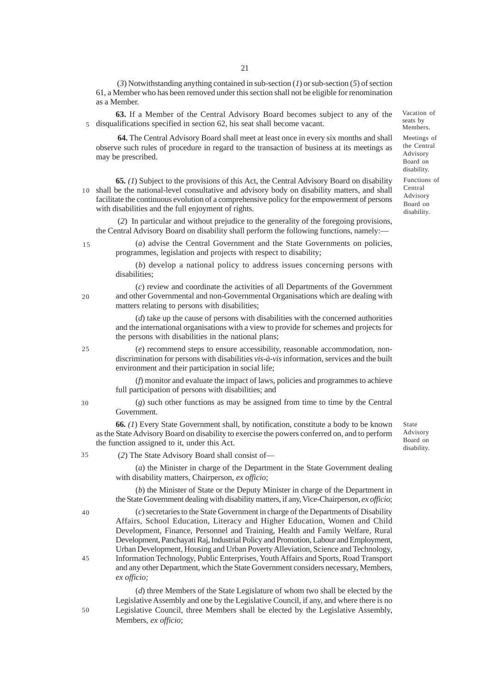(*3*) Notwithstanding anything contained in sub-section (*1*) or sub-section (*5*) of section 61, a Member who has been removed under this section shall not be eligible for renomination as a Member.

**63.** If a Member of the Central Advisory Board becomes subject to any of the 5 disqualifications specified in section 62, his seat shall become vacant.

 **64.** The Central Advisory Board shall meet at least once in every six months and shall observe such rules of procedure in regard to the transaction of business at its meetings as may be prescribed.

**65.** *(1*) Subject to the provisions of this Act, the Central Advisory Board on disability 10 shall be the national-level consultative and advisory body on disability matters, and shall facilitate the continuous evolution of a comprehensive policy for the empowerment of persons with disabilities and the full enjoyment of rights.

 (*2*) In particular and without prejudice to the generality of the foregoing provisions, the Central Advisory Board on disability shall perform the following functions, namely:—

(*a*) advise the Central Government and the State Governments on policies, programmes, legislation and projects with respect to disability;

(*b*) develop a national policy to address issues concerning persons with disabilities;

(*c*) review and coordinate the activities of all Departments of the Government and other Governmental and non-Governmental Organisations which are dealing with matters relating to persons with disabilities;

(*d*) take up the cause of persons with disabilities with the concerned authorities and the international organisations with a view to provide for schemes and projects for the persons with disabilities in the national plans;

(*e*) recommend steps to ensure accessibility, reasonable accommodation, nondiscrimination for persons with disabilities *vis-à-vis* information, services and the built environment and their participation in social life;

(*f*) monitor and evaluate the impact of laws, policies and programmes to achieve full participation of persons with disabilities; and

(*g*) such other functions as may be assigned from time to time by the Central Government.

**66.** *(1*) Every State Government shall, by notification, constitute a body to be known as the State Advisory Board on disability to exercise the powers conferred on, and to perform the function assigned to it, under this Act.

State Advisory Board on disability.

Vacation of seats by<br>Members.

Meetings of the Central Advisory Board on disability. Functions of Central Advisory Board on disability.

35

30

15

 $20$ 

25

(*2*) The State Advisory Board shall consist of—

(*a*) the Minister in charge of the Department in the State Government dealing with disability matters, Chairperson, *ex officio*;

(*b*) the Minister of State or the Deputy Minister in charge of the Department in the State Government dealing with disability matters, if any, Vice-Chairperson, *ex officio*;

40

45

50

(*c*) secretaries to the State Government in charge of the Departments of Disability Affairs, School Education, Literacy and Higher Education, Women and Child Development, Finance, Personnel and Training, Health and Family Welfare, Rural Development, Panchayati Raj, Industrial Policy and Promotion, Labour and Employment, Urban Development, Housing and Urban Poverty Alleviation, Science and Technology, Information Technology, Public Enterprises, Youth Affairs and Sports, Road Transport and any other Department, which the State Government considers necessary, Members, *ex officio;*

(*d*) three Members of the State Legislature of whom two shall be elected by the Legislative Assembly and one by the Legislative Council, if any, and where there is no Legislative Council, three Members shall be elected by the Legislative Assembly, Members, *ex officio*;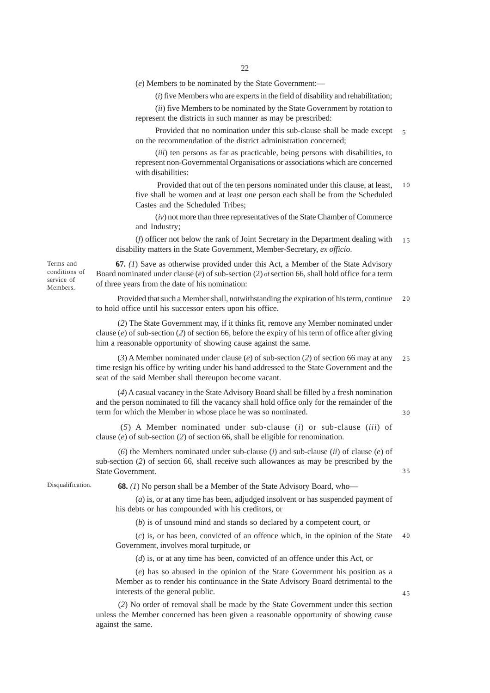(*e*) Members to be nominated by the State Government:—

(*i*) five Members who are experts in the field of disability and rehabilitation;

(*ii*) five Members to be nominated by the State Government by rotation to represent the districts in such manner as may be prescribed:

Provided that no nomination under this sub-clause shall be made except on the recommendation of the district administration concerned; 5

(*iii*) ten persons as far as practicable, being persons with disabilities, to represent non-Governmental Organisations or associations which are concerned with disabilities:

 Provided that out of the ten persons nominated under this clause, at least, five shall be women and at least one person each shall be from the Scheduled Castes and the Scheduled Tribes; 10

(*iv*) not more than three representatives of the State Chamber of Commerce and Industry;

(*f*) officer not below the rank of Joint Secretary in the Department dealing with disability matters in the State Government, Member-Secretary, *ex officio*. 15

**67.** *(1*) Save as otherwise provided under this Act, a Member of the State Advisory Board nominated under clause (*e*) of sub-section (2) of section 66, shall hold office for a term of three years from the date of his nomination:

 Provided that such a Member shall, notwithstanding the expiration of his term, continue to hold office until his successor enters upon his office.  $20$ 

 (*2*) The State Government may, if it thinks fit, remove any Member nominated under clause (*e*) of sub-section (*2*) of section 66, before the expiry of his term of office after giving him a reasonable opportunity of showing cause against the same.

 (*3*) A Member nominated under clause (*e*) of sub-section (*2*) of section 66 may at any time resign his office by writing under his hand addressed to the State Government and the seat of the said Member shall thereupon become vacant.  $25$ 

 (*4*) A casual vacancy in the State Advisory Board shall be filled by a fresh nomination and the person nominated to fill the vacancy shall hold office only for the remainder of the term for which the Member in whose place he was so nominated.

 (*5*) A Member nominated under sub-clause (*i*) or sub-clause (*iii*) of clause (*e*) of sub-section (*2*) of section 66, shall be eligible for renomination.

 (*6*) the Members nominated under sub-clause (*i*) and sub-clause (*ii*) of clause (*e*) of sub-section (*2*) of section 66, shall receive such allowances as may be prescribed by the State Government.

Disqualification.

**68.** *(1*) No person shall be a Member of the State Advisory Board, who—

(*a*) is, or at any time has been, adjudged insolvent or has suspended payment of his debts or has compounded with his creditors, or

(*b*) is of unsound mind and stands so declared by a competent court, or

(*c*) is, or has been, convicted of an offence which, in the opinion of the State Government, involves moral turpitude, or 40

(*d*) is, or at any time has been, convicted of an offence under this Act, or

(*e*) has so abused in the opinion of the State Government his position as a Member as to render his continuance in the State Advisory Board detrimental to the interests of the general public.

 (*2*) No order of removal shall be made by the State Government under this section unless the Member concerned has been given a reasonable opportunity of showing cause against the same.

Terms and conditions of service of Members.

35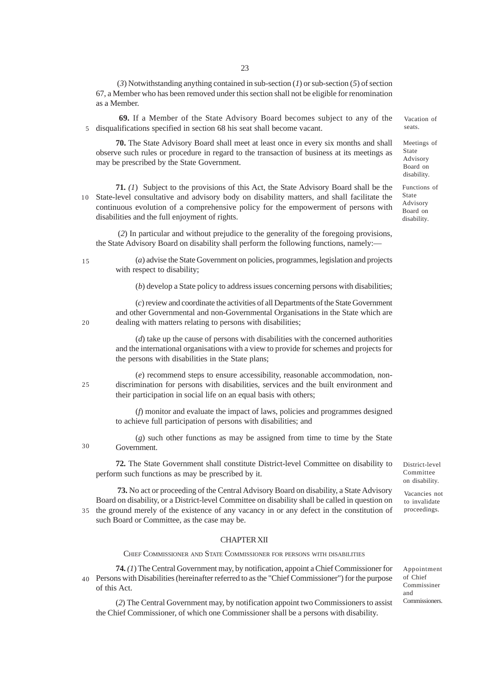(*3*) Notwithstanding anything contained in sub-section (*1*) or sub-section (*5*) of section 67, a Member who has been removed under this section shall not be eligible for renomination as a Member.

 **69.** If a Member of the State Advisory Board becomes subject to any of the disqualifications specified in section 68 his seat shall become vacant. 5

**70.** The State Advisory Board shall meet at least once in every six months and shall observe such rules or procedure in regard to the transaction of business at its meetings as may be prescribed by the State Government.

**71.** *(1*) Subject to the provisions of this Act, the State Advisory Board shall be the State-level consultative and advisory body on disability matters, and shall facilitate the 10 continuous evolution of a comprehensive policy for the empowerment of persons with disabilities and the full enjoyment of rights.

 (*2*) In particular and without prejudice to the generality of the foregoing provisions, the State Advisory Board on disability shall perform the following functions, namely:—

15

20

25

30

(*a*) advise the State Government on policies, programmes, legislation and projects with respect to disability;

(*b*) develop a State policy to address issues concerning persons with disabilities;

(*c*) review and coordinate the activities of all Departments of the State Government and other Governmental and non-Governmental Organisations in the State which are dealing with matters relating to persons with disabilities;

(*d*) take up the cause of persons with disabilities with the concerned authorities and the international organisations with a view to provide for schemes and projects for the persons with disabilities in the State plans;

(*e*) recommend steps to ensure accessibility, reasonable accommodation, nondiscrimination for persons with disabilities, services and the built environment and their participation in social life on an equal basis with others;

(*f*) monitor and evaluate the impact of laws, policies and programmes designed to achieve full participation of persons with disabilities; and

(*g*) such other functions as may be assigned from time to time by the State Government.

**72.** The State Government shall constitute District-level Committee on disability to perform such functions as may be prescribed by it.

**73.** No act or proceeding of the Central Advisory Board on disability, a State Advisory Board on disability, or a District-level Committee on disability shall be called in question on the ground merely of the existence of any vacancy in or any defect in the constitution of such Board or Committee, as the case may be. 35

#### CHAPTER XII

CHIEF COMMISSIONER AND STATE COMMISSIONER FOR PERSONS WITH DISABILITIES

**74.** *(1*) The Central Government may, by notification, appoint a Chief Commissioner for Persons with Disabilities (hereinafter referred to as the "Chief Commissioner") for the purpose 40of this Act.

(*2*) The Central Government may, by notification appoint two Commissioners to assist the Chief Commissioner, of which one Commissioner shall be a persons with disability.

Vacation of seats. Meetings of

State Advisory Board on disability.

Functions of State Advisory Board on disability.

District-level Committee on disability.

Vacancies not to invalidate proceedings.

Appointment of Chief Commissiner and Commissioners.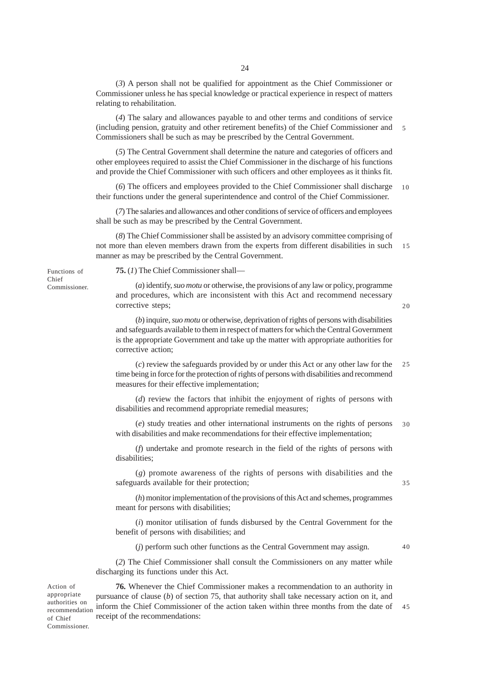(*3*) A person shall not be qualified for appointment as the Chief Commissioner or Commissioner unless he has special knowledge or practical experience in respect of matters relating to rehabilitation.

5 (*4*) The salary and allowances payable to and other terms and conditions of service (including pension, gratuity and other retirement benefits) of the Chief Commissioner and Commissioners shall be such as may be prescribed by the Central Government.

(*5*) The Central Government shall determine the nature and categories of officers and other employees required to assist the Chief Commissioner in the discharge of his functions and provide the Chief Commissioner with such officers and other employees as it thinks fit.

10 (*6*) The officers and employees provided to the Chief Commissioner shall discharge their functions under the general superintendence and control of the Chief Commissioner.

(*7*) The salaries and allowances and other conditions of service of officers and employees shall be such as may be prescribed by the Central Government.

15 (*8*) The Chief Commissioner shall be assisted by an advisory committee comprising of not more than eleven members drawn from the experts from different disabilities in such manner as may be prescribed by the Central Government.

Functions of Chief Commissioner. **75.** (*1*) The Chief Commissioner shall—

(*a*) identify, *suo motu* or otherwise, the provisions of any law or policy, programme and procedures, which are inconsistent with this Act and recommend necessary corrective steps;

20

(*b*) inquire, *suo motu* or otherwise, deprivation of rights of persons with disabilities and safeguards available to them in respect of matters for which the Central Government is the appropriate Government and take up the matter with appropriate authorities for corrective action;

25 (*c*) review the safeguards provided by or under this Act or any other law for the time being in force for the protection of rights of persons with disabilities and recommend measures for their effective implementation;

(*d*) review the factors that inhibit the enjoyment of rights of persons with disabilities and recommend appropriate remedial measures;

 $30$ (*e*) study treaties and other international instruments on the rights of persons with disabilities and make recommendations for their effective implementation;

(*f*) undertake and promote research in the field of the rights of persons with disabilities;

(*g*) promote awareness of the rights of persons with disabilities and the safeguards available for their protection;

(*h*) monitor implementation of the provisions of this Act and schemes, programmes meant for persons with disabilities;

(*i*) monitor utilisation of funds disbursed by the Central Government for the benefit of persons with disabilities; and

(*j*) perform such other functions as the Central Government may assign.

(*2*) The Chief Commissioner shall consult the Commissioners on any matter while discharging its functions under this Act.

Action of appropriate authorities on recommendation of Chief Commissioner.

45 **76.** Whenever the Chief Commissioner makes a recommendation to an authority in pursuance of clause (*b*) of section 75, that authority shall take necessary action on it, and inform the Chief Commissioner of the action taken within three months from the date of receipt of the recommendations:

40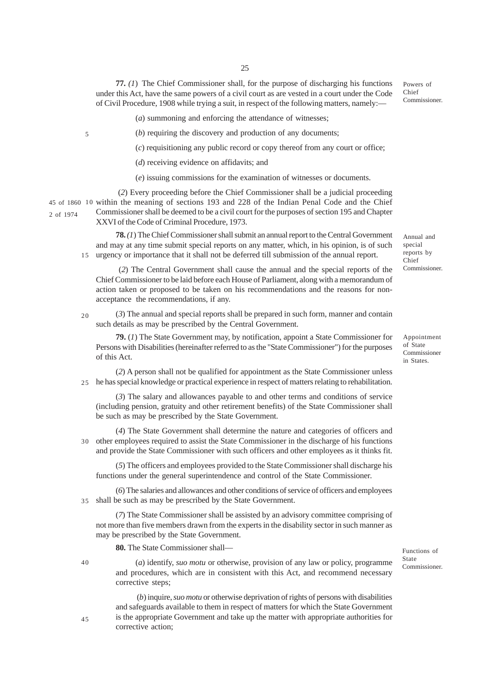**77.** *(1*) The Chief Commissioner shall, for the purpose of discharging his functions under this Act, have the same powers of a civil court as are vested in a court under the Code of Civil Procedure, 1908 while trying a suit, in respect of the following matters, namely:—

(*a*) summoning and enforcing the attendance of witnesses;

(*b*) requiring the discovery and production of any documents;

(*c*) requisitioning any public record or copy thereof from any court or office;

(*d*) receiving evidence on affidavits; and

(*e*) issuing commissions for the examination of witnesses or documents.

 (*2*) Every proceeding before the Chief Commissioner shall be a judicial proceeding 45 of 1860 10 within the meaning of sections 193 and 228 of the Indian Penal Code and the Chief Commissioner shall be deemed to be a civil court for the purposes of section 195 and Chapter XXVI of the Code of Criminal Procedure, 1973. 2 of 1974

**78.***(1*) The Chief Commissioner shall submit an annual report to the Central Government and may at any time submit special reports on any matter, which, in his opinion, is of such 15 urgency or importance that it shall not be deferred till submission of the annual report.

 (*2*) The Central Government shall cause the annual and the special reports of the Chief Commissioner to be laid before each House of Parliament, along with a memorandum of action taken or proposed to be taken on his recommendations and the reasons for nonacceptance the recommendations, if any.

(*3*) The annual and special reports shall be prepared in such form, manner and contain such details as may be prescribed by the Central Government.  $20$ 

**79.** (*1*) The State Government may, by notification, appoint a State Commissioner for Persons with Disabilities (hereinafter referred to as the "State Commissioner") for the purposes of this Act.

Appointment of State Commissioner in States.

(*2*) A person shall not be qualified for appointment as the State Commissioner unless 25 he has special knowledge or practical experience in respect of matters relating to rehabilitation.

(*3*) The salary and allowances payable to and other terms and conditions of service (including pension, gratuity and other retirement benefits) of the State Commissioner shall be such as may be prescribed by the State Government.

(*4*) The State Government shall determine the nature and categories of officers and 30 other employees required to assist the State Commissioner in the discharge of his functions and provide the State Commissioner with such officers and other employees as it thinks fit.

(*5*) The officers and employees provided to the State Commissioner shall discharge his functions under the general superintendence and control of the State Commissioner.

(*6*) The salaries and allowances and other conditions of service of officers and employees shall be such as may be prescribed by the State Government. 35

(*7*) The State Commissioner shall be assisted by an advisory committee comprising of not more than five members drawn from the experts in the disability sector in such manner as may be prescribed by the State Government.

**80.** The State Commissioner shall—

(*a*) identify, *suo motu* or otherwise, provision of any law or policy, programme and procedures, which are in consistent with this Act, and recommend necessary corrective steps:

 (*b*) inquire, *suo motu* or otherwise deprivation of rights of persons with disabilities and safeguards available to them in respect of matters for which the State Government is the appropriate Government and take up the matter with appropriate authorities for corrective action;

45

40

5

Functions of State Commissioner.

Annual and special reports by Chief Commissioner.

Powers of Chief Commissioner.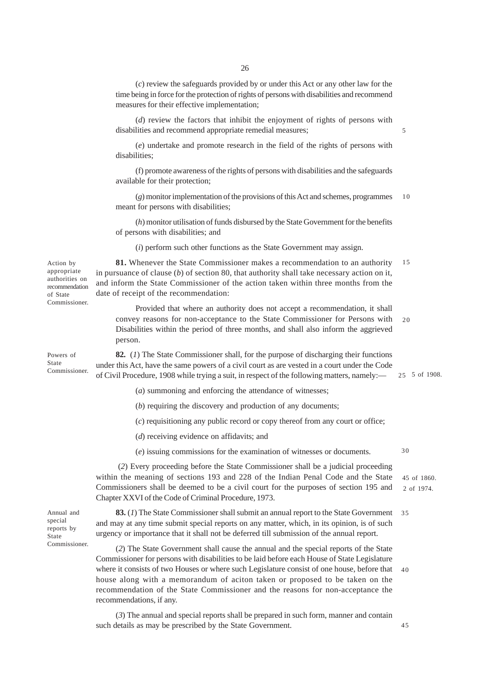(*c*) review the safeguards provided by or under this Act or any other law for the time being in force for the protection of rights of persons with disabilities and recommend measures for their effective implementation;

(*d*) review the factors that inhibit the enjoyment of rights of persons with disabilities and recommend appropriate remedial measures;

(*e*) undertake and promote research in the field of the rights of persons with disabilities;

(f) promote awareness of the rights of persons with disabilities and the safeguards available for their protection;

(*g*) monitor implementation of the provisions of this Act and schemes, programmes meant for persons with disabilities; 10

(*h*) monitor utilisation of funds disbursed by the State Government for the benefits of persons with disabilities; and

(*i*) perform such other functions as the State Government may assign.

**81.** Whenever the State Commissioner makes a recommendation to an authority in pursuance of clause (*b*) of section 80, that authority shall take necessary action on it, and inform the State Commissioner of the action taken within three months from the date of receipt of the recommendation: 15

Provided that where an authority does not accept a recommendation, it shall convey reasons for non-acceptance to the State Commissioner for Persons with Disabilities within the period of three months, and shall also inform the aggrieved person.  $20$ 

**82.** (*1*) The State Commissioner shall, for the purpose of discharging their functions under this Act, have the same powers of a civil court as are vested in a court under the Code of Civil Procedure, 1908 while trying a suit, in respect of the following matters, namely:—

- (*a*) summoning and enforcing the attendance of witnesses;
- (*b*) requiring the discovery and production of any documents;
- (*c*) requisitioning any public record or copy thereof from any court or office;
- (*d*) receiving evidence on affidavits; and
- (*e*) issuing commissions for the examination of witnesses or documents.

45 of 1860.

5 of 1908. 25

5

2 of 1974.

 (*2*) Every proceeding before the State Commissioner shall be a judicial proceeding within the meaning of sections 193 and 228 of the Indian Penal Code and the State Commissioners shall be deemed to be a civil court for the purposes of section 195 and Chapter XXVI of the Code of Criminal Procedure, 1973.

Annual and special reports by State Commissioner.

**83.** (*1*) The State Commissioner shall submit an annual report to the State Government and may at any time submit special reports on any matter, which, in its opinion, is of such urgency or importance that it shall not be deferred till submission of the annual report. 35

(*2*) The State Government shall cause the annual and the special reports of the State Commissioner for persons with disabilities to be laid before each House of State Legislature where it consists of two Houses or where such Legislature consist of one house, before that house along with a memorandum of aciton taken or proposed to be taken on the recommendation of the State Commissioner and the reasons for non-acceptance the recommendations, if any. 40

(*3*) The annual and special reports shall be prepared in such form, manner and contain such details as may be prescribed by the State Government.

Action by appropriate authorities on recommendation of State Commissioner.

Powers of State Commissioner.

30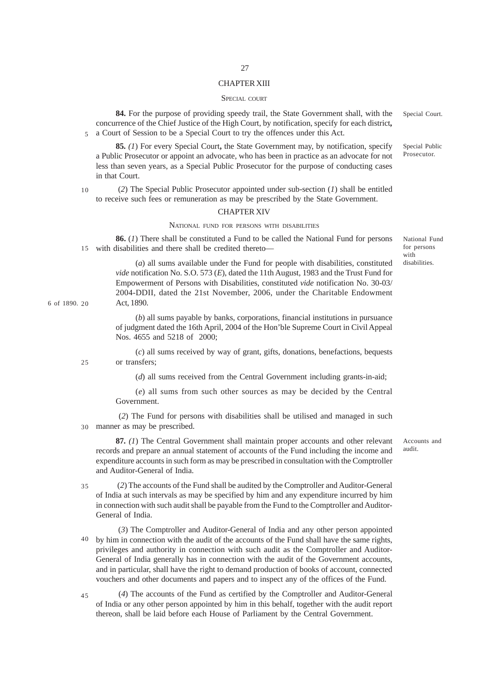#### CHAPTER XIII

#### SPECIAL COURT

**84.** For the purpose of providing speedy trail, the State Government shall, with the concurrence of the Chief Justice of the High Court, by notification, specify for each district*,* a Court of Session to be a Special Court to try the offences under this Act. 5 Special Court.

**85.** *(1*) For every Special Court**,** the State Government may, by notification, specify a Public Prosecutor or appoint an advocate, who has been in practice as an advocate for not less than seven years, as a Special Public Prosecutor for the purpose of conducting cases in that Court.

 (*2*) The Special Public Prosecutor appointed under sub-section (*1*) shall be entitled to receive such fees or remuneration as may be prescribed by the State Government. 10

#### CHAPTER XIV

#### NATIONAL FUND FOR PERSONS WITH DISABILITIES

**86.** (*1*) There shall be constituted a Fund to be called the National Fund for persons with disabilities and there shall be credited thereto— 15

6 of 1890. 20

25

National Fund for persons with disabilities.

Accounts and audit.

(*a*) all sums available under the Fund for people with disabilities, constituted *vide* notification No. S.O. 573 (*E*), dated the 11th August, 1983 and the Trust Fund for Empowerment of Persons with Disabilities, constituted *vide* notification No. 30-03/ 2004-DDII, dated the 21st November, 2006, under the Charitable Endowment Act, 1890.

(*b*) all sums payable by banks, corporations, financial institutions in pursuance of judgment dated the 16th April, 2004 of the Hon'ble Supreme Court in Civil Appeal Nos. 4655 and 5218 of 2000;

(*c*) all sums received by way of grant, gifts, donations, benefactions, bequests or transfers;

(*d*) all sums received from the Central Government including grants-in-aid;

(*e*) all sums from such other sources as may be decided by the Central Government.

 (*2*) The Fund for persons with disabilities shall be utilised and managed in such manner as may be prescribed. 30

**87.** *(1*) The Central Government shall maintain proper accounts and other relevant records and prepare an annual statement of accounts of the Fund including the income and expenditure accounts in such form as may be prescribed in consultation with the Comptroller and Auditor-General of India.

 (*2*) The accounts of the Fund shall be audited by the Comptroller and Auditor-General of India at such intervals as may be specified by him and any expenditure incurred by him in connection with such audit shall be payable from the Fund to the Comptroller and Auditor-General of India. 35

 (*3*) The Comptroller and Auditor-General of India and any other person appointed by him in connection with the audit of the accounts of the Fund shall have the same rights, privileges and authority in connection with such audit as the Comptroller and Auditor-General of India generally has in connection with the audit of the Government accounts, and in particular, shall have the right to demand production of books of account, connected vouchers and other documents and papers and to inspect any of the offices of the Fund. 40

 (*4*) The accounts of the Fund as certified by the Comptroller and Auditor-General of India or any other person appointed by him in this behalf, together with the audit report thereon, shall be laid before each House of Parliament by the Central Government. 45

#### 27

Special Public Prosecutor.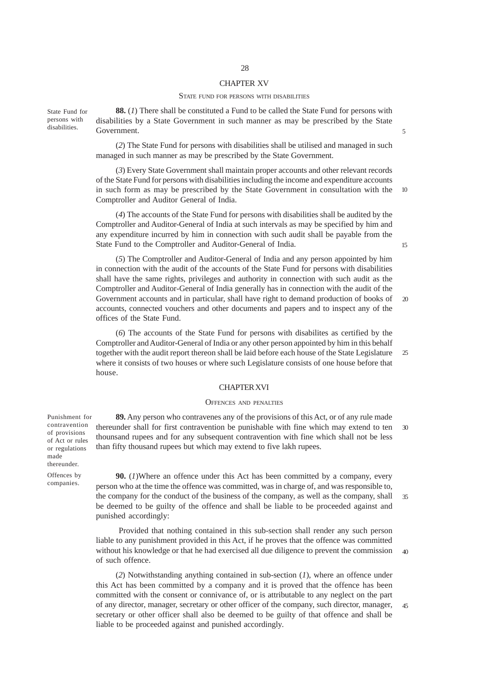#### CHAPTER XV

#### STATE FUND FOR PERSONS WITH DISABILITIES

State Fund for persons with disabilities.

**88.** (*1*) There shall be constituted a Fund to be called the State Fund for persons with disabilities by a State Government in such manner as may be prescribed by the State Government.

(*2*) The State Fund for persons with disabilities shall be utilised and managed in such managed in such manner as may be prescribed by the State Government.

(*3*) Every State Government shall maintain proper accounts and other relevant records of the State Fund for persons with disabilities including the income and expenditure accounts in such form as may be prescribed by the State Government in consultation with the Comptroller and Auditor General of India. 10

(*4*) The accounts of the State Fund for persons with disabilities shall be audited by the Comptroller and Auditor-General of India at such intervals as may be specified by him and any expenditure incurred by him in connection with such audit shall be payable from the State Fund to the Comptroller and Auditor-General of India.

(*5*) The Comptroller and Auditor-General of India and any person appointed by him in connection with the audit of the accounts of the State Fund for persons with disabilities shall have the same rights, privileges and authority in connection with such audit as the Comptroller and Auditor-General of India generally has in connection with the audit of the Government accounts and in particular, shall have right to demand production of books of accounts, connected vouchers and other documents and papers and to inspect any of the offices of the State Fund.  $\mathfrak{D}$ 

(*6*) The accounts of the State Fund for persons with disabilites as certified by the Comptroller and Auditor-General of India or any other person appointed by him in this behalf together with the audit report thereon shall be laid before each house of the State Legislature where it consists of two houses or where such Legislature consists of one house before that house.  $25$ 

#### CHAPTER XVI

#### OFFENCES AND PENALTIES

Punishment for contravention of provisions of Act or rules or regulations made thereunder.

Offences by companies.

**89.** Any person who contravenes any of the provisions of this Act, or of any rule made thereunder shall for first contravention be punishable with fine which may extend to ten thounsand rupees and for any subsequent contravention with fine which shall not be less than fifty thousand rupees but which may extend to five lakh rupees. 30

**90.** (*1*)Where an offence under this Act has been committed by a company, every person who at the time the offence was committed, was in charge of, and was responsible to, the company for the conduct of the business of the company, as well as the company, shall be deemed to be guilty of the offence and shall be liable to be proceeded against and punished accordingly: 35

 Provided that nothing contained in this sub-section shall render any such person liable to any punishment provided in this Act, if he proves that the offence was committed without his knowledge or that he had exercised all due diligence to prevent the commission of such offence.

(*2*) Notwithstanding anything contained in sub-section (*1*), where an offence under this Act has been committed by a company and it is proved that the offence has been committed with the consent or connivance of, or is attributable to any neglect on the part of any director, manager, secretary or other officer of the company, such director, manager, secretary or other officer shall also be deemed to be guilty of that offence and shall be liable to be proceeded against and punished accordingly.

15

40

45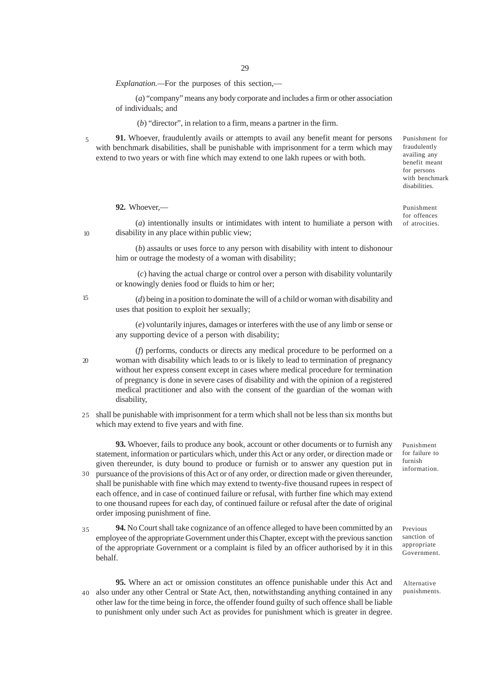*Explanation.—*For the purposes of this section,—

(*a*) "company" means any body corporate and includes a firm or other association of individuals; and

(*b*) "director", in relation to a firm, means a partner in the firm.

5

**91.** Whoever, fraudulently avails or attempts to avail any benefit meant for persons with benchmark disabilities, shall be punishable with imprisonment for a term which may extend to two years or with fine which may extend to one lakh rupees or with both.

**92.** Whoever,—

10

(*a*) intentionally insults or intimidates with intent to humiliate a person with disability in any place within public view;

(*b*) assaults or uses force to any person with disability with intent to dishonour him or outrage the modesty of a woman with disability;

 (*c*) having the actual charge or control over a person with disability voluntarily or knowingly denies food or fluids to him or her;

15

(*d*) being in a position to dominate the will of a child or woman with disability and uses that position to exploit her sexually;

(*e*) voluntarily injures, damages or interferes with the use of any limb or sense or any supporting device of a person with disability;

(*f*) performs, conducts or directs any medical procedure to be performed on a woman with disability which leads to or is likely to lead to termination of pregnancy without her express consent except in cases where medical procedure for termination of pregnancy is done in severe cases of disability and with the opinion of a registered medical practitioner and also with the consent of the guardian of the woman with disability,  $\mathfrak{D}$ 

25 shall be punishable with imprisonment for a term which shall not be less than six months but which may extend to five years and with fine.

**93.** Whoever, fails to produce any book, account or other documents or to furnish any statement, information or particulars which, under this Act or any order, or direction made or given thereunder, is duty bound to produce or furnish or to answer any question put in pursuance of the provisions of this Act or of any order, or direction made or given thereunder, shall be punishable with fine which may extend to twenty-five thousand rupees in respect of each offence, and in case of continued failure or refusal, with further fine which may extend to one thousand rupees for each day, of continued failure or refusal after the date of original order imposing punishment of fine. 30

**94.** No Court shall take cognizance of an offence alleged to have been committed by an employee of the appropriate Government under this Chapter, except with the previous sanction of the appropriate Government or a complaint is filed by an officer authorised by it in this behalf. 35

> Alternative punishments.

Previous sanction of appropriate Government.

**95.** Where an act or omission constitutes an offence punishable under this Act and also under any other Central or State Act, then, notwithstanding anything contained in any 40 other law for the time being in force, the offender found guilty of such offence shall be liable to punishment only under such Act as provides for punishment which is greater in degree.

disabilities. Punishment for offences

of atrocities.

Punishment for fraudulently availing any benefit meant for persons with benchmark

Punishment for failure to furnish information.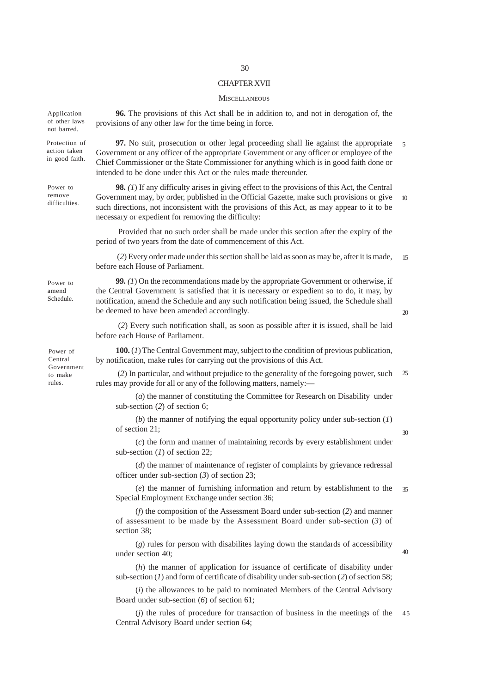# 30 CHAPTER XVII

#### **MISCELLANEOUS**

| Application<br>of other laws<br>not barred.     | <b>96.</b> The provisions of this Act shall be in addition to, and not in derogation of, the<br>provisions of any other law for the time being in force.                                                                                                                                                                                           |    |
|-------------------------------------------------|----------------------------------------------------------------------------------------------------------------------------------------------------------------------------------------------------------------------------------------------------------------------------------------------------------------------------------------------------|----|
| Protection of<br>action taken<br>in good faith. | 97. No suit, prosecution or other legal proceeding shall lie against the appropriate<br>Government or any officer of the appropriate Government or any officer or employee of the<br>Chief Commissioner or the State Commissioner for anything which is in good faith done or<br>intended to be done under this Act or the rules made thereunder.  | 5  |
| Power to<br>remove<br>difficulties.             | 98. $(1)$ If any difficulty arises in giving effect to the provisions of this Act, the Central<br>Government may, by order, published in the Official Gazette, make such provisions or give<br>such directions, not inconsistent with the provisions of this Act, as may appear to it to be<br>necessary or expedient for removing the difficulty: | 10 |
|                                                 | Provided that no such order shall be made under this section after the expiry of the<br>period of two years from the date of commencement of this Act.                                                                                                                                                                                             |    |
|                                                 | (2) Every order made under this section shall be laid as soon as may be, after it is made,<br>before each House of Parliament.                                                                                                                                                                                                                     | 15 |
| Power to<br>amend<br>Schedule.                  | 99. $(1)$ On the recommendations made by the appropriate Government or otherwise, if<br>the Central Government is satisfied that it is necessary or expedient so to do, it may, by<br>notification, amend the Schedule and any such notification being issued, the Schedule shall<br>be deemed to have been amended accordingly.                   | 20 |
|                                                 | (2) Every such notification shall, as soon as possible after it is issued, shall be laid<br>before each House of Parliament.                                                                                                                                                                                                                       |    |
| Power of<br>Central                             | <b>100.</b> (1) The Central Government may, subject to the condition of previous publication,<br>by notification, make rules for carrying out the provisions of this Act.                                                                                                                                                                          |    |
| Government<br>to make<br>rules.                 | (2) In particular, and without prejudice to the generality of the foregoing power, such<br>rules may provide for all or any of the following matters, namely:-                                                                                                                                                                                     | 25 |
|                                                 | $(a)$ the manner of constituting the Committee for Research on Disability under<br>sub-section $(2)$ of section 6;                                                                                                                                                                                                                                 |    |
|                                                 | (b) the manner of notifying the equal opportunity policy under sub-section $(I)$<br>of section 21;                                                                                                                                                                                                                                                 | 30 |
|                                                 | $(c)$ the form and manner of maintaining records by every establishment under<br>sub-section $(I)$ of section 22;                                                                                                                                                                                                                                  |    |
|                                                 | $(d)$ the manner of maintenance of register of complaints by grievance redressal<br>officer under sub-section $(3)$ of section 23;                                                                                                                                                                                                                 |    |
|                                                 | (e) the manner of furnishing information and return by establishment to the<br>Special Employment Exchange under section 36;                                                                                                                                                                                                                       | 35 |
|                                                 | ( $f$ ) the composition of the Assessment Board under sub-section (2) and manner<br>of assessment to be made by the Assessment Board under sub-section (3) of<br>section 38;                                                                                                                                                                       |    |
|                                                 | $(g)$ rules for person with disabilites laying down the standards of accessibility                                                                                                                                                                                                                                                                 |    |

40

(*h*) the manner of application for issuance of certificate of disability under sub-section (*1*) and form of certificate of disability under sub-section (*2*) of section 58;

under section 40;

(*i*) the allowances to be paid to nominated Members of the Central Advisory Board under sub-section (*6*) of section 61;

(*j*) the rules of procedure for transaction of business in the meetings of the 45Central Advisory Board under section 64;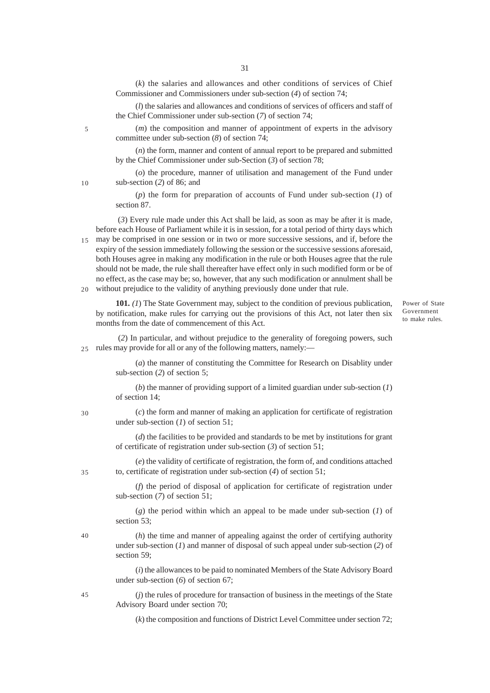(*k*) the salaries and allowances and other conditions of services of Chief Commissioner and Commissioners under sub-section (*4*) of section 74;

(*l*) the salaries and allowances and conditions of services of officers and staff of the Chief Commissioner under sub-section (*7*) of section 74;

(*m*) the composition and manner of appointment of experts in the advisory committee under sub-section (*8*) of section 74;

(*n*) the form, manner and content of annual report to be prepared and submitted by the Chief Commissioner under sub-Section (*3*) of section 78;

(*o*) the procedure, manner of utilisation and management of the Fund under sub-section (*2*) of 86; and

(*p*) the form for preparation of accounts of Fund under sub-section (*1*) of section 87.

 (*3*) Every rule made under this Act shall be laid, as soon as may be after it is made, before each House of Parliament while it is in session, for a total period of thirty days which

may be comprised in one session or in two or more successive sessions, and if, before the 15 expiry of the session immediately following the session or the successive sessions aforesaid, both Houses agree in making any modification in the rule or both Houses agree that the rule should not be made, the rule shall thereafter have effect only in such modified form or be of no effect, as the case may be; so, however, that any such modification or annulment shall be without prejudice to the validity of anything previously done under that rule. 20

**101.** *(1*) The State Government may, subject to the condition of previous publication, by notification, make rules for carrying out the provisions of this Act, not later then six months from the date of commencement of this Act.

Power of State Government to make rules.

 (*2*) In particular, and without prejudice to the generality of foregoing powers, such 25 rules may provide for all or any of the following matters, namely:—

> (*a*) the manner of constituting the Committee for Research on Disablity under sub-section (*2*) of section 5;

> (*b*) the manner of providing support of a limited guardian under sub-section (*1*) of section 14;

> (*c*) the form and manner of making an application for certificate of registration under sub-section (*1*) of section 51:

> (*d*) the facilities to be provided and standards to be met by institutions for grant of certificate of registration under sub-section (*3*) of section 51;

(*e*) the validity of certificate of registration, the form of, and conditions attached to, certificate of registration under sub-section (*4*) of section 51;

(*f*) the period of disposal of application for certificate of registration under sub-section (7) of section 51;

(*g*) the period within which an appeal to be made under sub-section (*1*) of section 53:

(*h*) the time and manner of appealing against the order of certifying authority under sub-section (*1*) and manner of disposal of such appeal under sub-section (*2*) of section 59:

(*i*) the allowances to be paid to nominated Members of the State Advisory Board under sub-section (*6*) of section 67;

(*j*) the rules of procedure for transaction of business in the meetings of the State Advisory Board under section 70;

(*k*) the composition and functions of District Level Committee under section 72;

10

5

30

35

40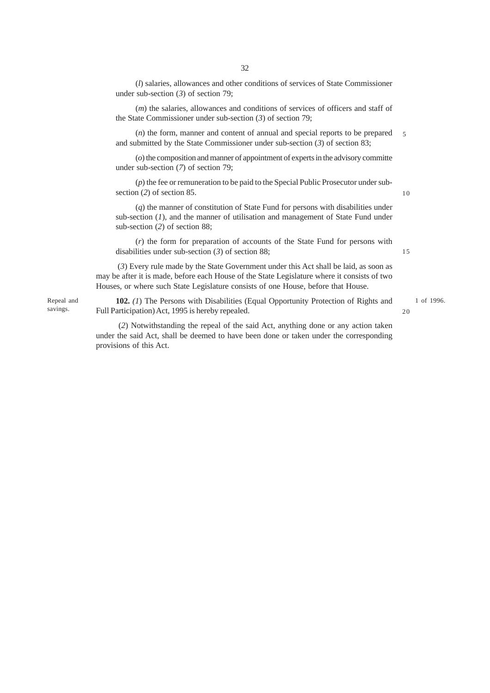(*l*) salaries, allowances and other conditions of services of State Commissioner under sub-section (*3*) of section 79;

(*m*) the salaries, allowances and conditions of services of officers and staff of the State Commissioner under sub-section (*3*) of section 79;

(*n*) the form, manner and content of annual and special reports to be prepared and submitted by the State Commissioner under sub-section (*3*) of section 83; 5

(*o*) the composition and manner of appointment of experts in the advisory committe under sub-section (*7*) of section 79;

(*p*) the fee or remuneration to be paid to the Special Public Prosecutor under subsection (*2*) of section 85.

(*q*) the manner of constitution of State Fund for persons with disabilities under sub-section  $(I)$ , and the manner of utilisation and management of State Fund under sub-section (*2*) of section 88;

(*r*) the form for preparation of accounts of the State Fund for persons with disabilities under sub-section (*3*) of section 88;

15

20

10

1 of 1996.

 (*3*) Every rule made by the State Government under this Act shall be laid, as soon as may be after it is made, before each House of the State Legislature where it consists of two Houses, or where such State Legislature consists of one House, before that House.

**102.** *(1*) The Persons with Disabilities (Equal Opportunity Protection of Rights and Full Participation) Act, 1995 is hereby repealed.

 (*2*) Notwithstanding the repeal of the said Act, anything done or any action taken under the said Act, shall be deemed to have been done or taken under the corresponding provisions of this Act.

Repeal and savings.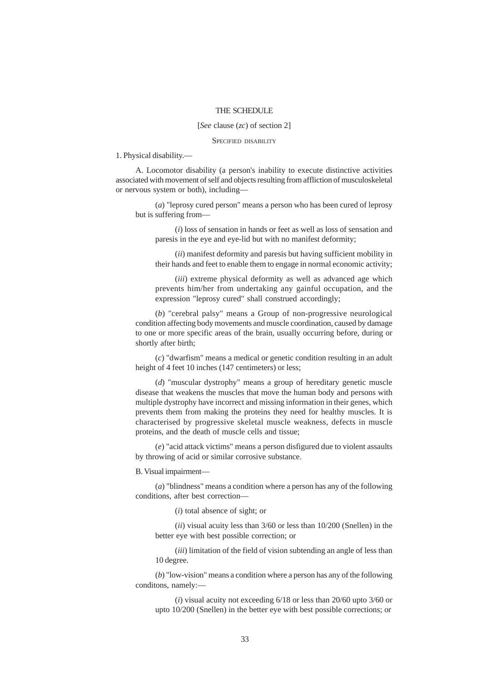#### THE SCHEDULE

#### [*See* clause (*zc*) of section 2]

## SPECIFIED DISABILITY

#### 1. Physical disability.—

A. Locomotor disability (a person's inability to execute distinctive activities associated with movement of self and objects resulting from affliction of musculoskeletal or nervous system or both), including—

(*a*) "leprosy cured person" means a person who has been cured of leprosy but is suffering from—

(*i*) loss of sensation in hands or feet as well as loss of sensation and paresis in the eye and eye-lid but with no manifest deformity;

(*ii*) manifest deformity and paresis but having sufficient mobility in their hands and feet to enable them to engage in normal economic activity;

(*iii*) extreme physical deformity as well as advanced age which prevents him/her from undertaking any gainful occupation, and the expression "leprosy cured" shall construed accordingly;

(*b*) "cerebral palsy" means a Group of non-progressive neurological condition affecting body movements and muscle coordination, caused by damage to one or more specific areas of the brain, usually occurring before, during or shortly after birth;

(*c*) "dwarfism" means a medical or genetic condition resulting in an adult height of 4 feet 10 inches (147 centimeters) or less;

(*d*) "muscular dystrophy" means a group of hereditary genetic muscle disease that weakens the muscles that move the human body and persons with multiple dystrophy have incorrect and missing information in their genes, which prevents them from making the proteins they need for healthy muscles. It is characterised by progressive skeletal muscle weakness, defects in muscle proteins, and the death of muscle cells and tissue;

(*e*) "acid attack victims" means a person disfigured due to violent assaults by throwing of acid or similar corrosive substance.

#### B. Visual impairment—

(*a*) "blindness" means a condition where a person has any of the following conditions, after best correction—

(*i*) total absence of sight; or

(*ii*) visual acuity less than 3/60 or less than 10/200 (Snellen) in the better eye with best possible correction; or

(*iii*) limitation of the field of vision subtending an angle of less than 10 degree.

(*b*) "low-vision" means a condition where a person has any of the following conditons, namely:—

(*i*) visual acuity not exceeding 6/18 or less than 20/60 upto 3/60 or upto 10/200 (Snellen) in the better eye with best possible corrections; or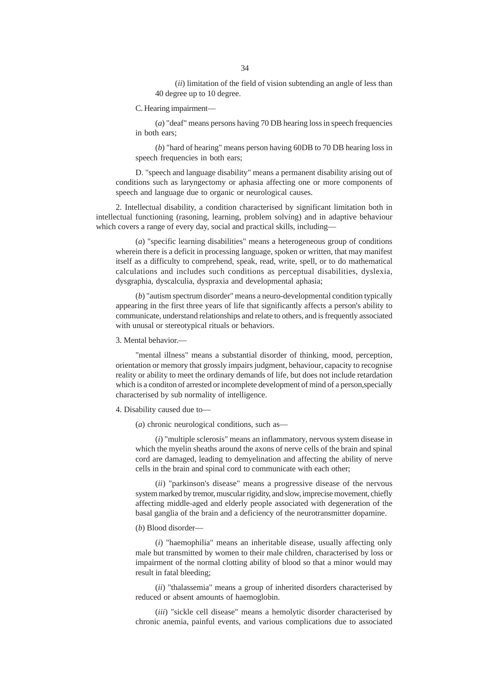(*ii*) limitation of the field of vision subtending an angle of less than 40 degree up to 10 degree.

#### C. Hearing impairment—

(*a*) "deaf" means persons having 70 DB hearing loss in speech frequencies in both ears;

(*b*) "hard of hearing" means person having 60DB to 70 DB hearing loss in speech frequencies in both ears;

D. "speech and language disability" means a permanent disability arising out of conditions such as laryngectomy or aphasia affecting one or more components of speech and language due to organic or neurological causes.

2. Intellectual disability, a condition characterised by significant limitation both in intellectual functioning (rasoning, learning, problem solving) and in adaptive behaviour which covers a range of every day, social and practical skills, including—

(*a*) "specific learning disabilities" means a heterogeneous group of conditions wherein there is a deficit in processing language, spoken or written, that may manifest itself as a difficulty to comprehend, speak, read, write, spell, or to do mathematical calculations and includes such conditions as perceptual disabilities, dyslexia, dysgraphia, dyscalculia, dyspraxia and developmental aphasia;

(*b*) "autism spectrum disorder" means a neuro-developmental condition typically appearing in the first three years of life that significantly affects a person's ability to communicate, understand relationships and relate to others, and is frequently associated with unusal or stereotypical rituals or behaviors.

### 3. Mental behavior.—

"mental illness" means a substantial disorder of thinking, mood, perception, orientation or memory that grossly impairs judgment, behaviour, capacity to recognise reality or ability to meet the ordinary demands of life, but does not include retardation which is a conditon of arrested or incomplete development of mind of a person,specially characterised by sub normality of intelligence.

## 4. Disability caused due to—

(*a*) chronic neurological conditions, such as—

(*i*) "multiple sclerosis" means an inflammatory, nervous system disease in which the myelin sheaths around the axons of nerve cells of the brain and spinal cord are damaged, leading to demyelination and affecting the ability of nerve cells in the brain and spinal cord to communicate with each other;

(*ii*) "parkinson's disease" means a progressive disease of the nervous system marked by tremor, muscular rigidity, and slow, imprecise movement, chiefly affecting middle-aged and elderly people associated with degeneration of the basal ganglia of the brain and a deficiency of the neurotransmitter dopamine.

## (*b*) Blood disorder—

(*i*) "haemophilia" means an inheritable disease, usually affecting only male but transmitted by women to their male children, characterised by loss or impairment of the normal clotting ability of blood so that a minor would may result in fatal bleeding;

(*ii*) "thalassemia" means a group of inherited disorders characterised by reduced or absent amounts of haemoglobin.

(*iii*) "sickle cell disease" means a hemolytic disorder characterised by chronic anemia, painful events, and various complications due to associated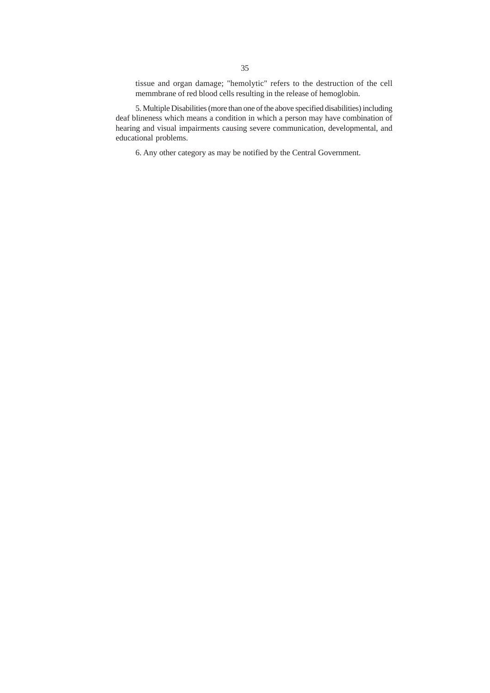tissue and organ damage; "hemolytic" refers to the destruction of the cell memmbrane of red blood cells resulting in the release of hemoglobin.

5. Multiple Disabilities (more than one of the above specified disabilities) including deaf blineness which means a condition in which a person may have combination of hearing and visual impairments causing severe communication, developmental, and educational problems.

6. Any other category as may be notified by the Central Government.